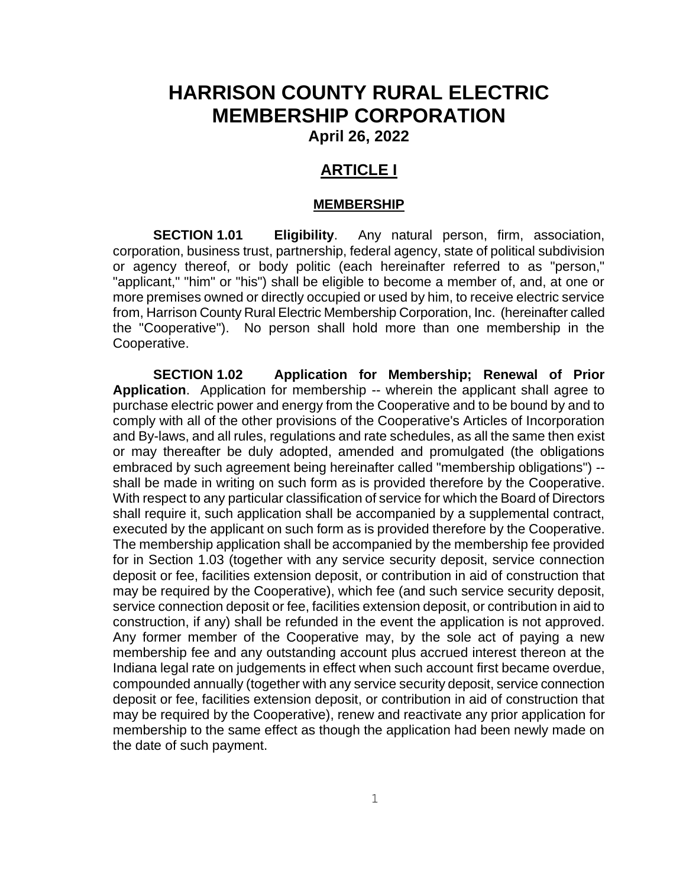# **HARRISON COUNTY RURAL ELECTRIC MEMBERSHIP CORPORATION**

**April 26, 2022**

# **ARTICLE I**

#### **MEMBERSHIP**

**SECTION 1.01 Eligibility**. Any natural person, firm, association, corporation, business trust, partnership, federal agency, state of political subdivision or agency thereof, or body politic (each hereinafter referred to as "person," "applicant," "him" or "his") shall be eligible to become a member of, and, at one or more premises owned or directly occupied or used by him, to receive electric service from, Harrison County Rural Electric Membership Corporation, Inc. (hereinafter called the "Cooperative"). No person shall hold more than one membership in the Cooperative.

**SECTION 1.02 Application for Membership; Renewal of Prior Application**. Application for membership -- wherein the applicant shall agree to purchase electric power and energy from the Cooperative and to be bound by and to comply with all of the other provisions of the Cooperative's Articles of Incorporation and By-laws, and all rules, regulations and rate schedules, as all the same then exist or may thereafter be duly adopted, amended and promulgated (the obligations embraced by such agreement being hereinafter called "membership obligations") - shall be made in writing on such form as is provided therefore by the Cooperative. With respect to any particular classification of service for which the Board of Directors shall require it, such application shall be accompanied by a supplemental contract, executed by the applicant on such form as is provided therefore by the Cooperative. The membership application shall be accompanied by the membership fee provided for in Section 1.03 (together with any service security deposit, service connection deposit or fee, facilities extension deposit, or contribution in aid of construction that may be required by the Cooperative), which fee (and such service security deposit, service connection deposit or fee, facilities extension deposit, or contribution in aid to construction, if any) shall be refunded in the event the application is not approved. Any former member of the Cooperative may, by the sole act of paying a new membership fee and any outstanding account plus accrued interest thereon at the Indiana legal rate on judgements in effect when such account first became overdue, compounded annually (together with any service security deposit, service connection deposit or fee, facilities extension deposit, or contribution in aid of construction that may be required by the Cooperative), renew and reactivate any prior application for membership to the same effect as though the application had been newly made on the date of such payment.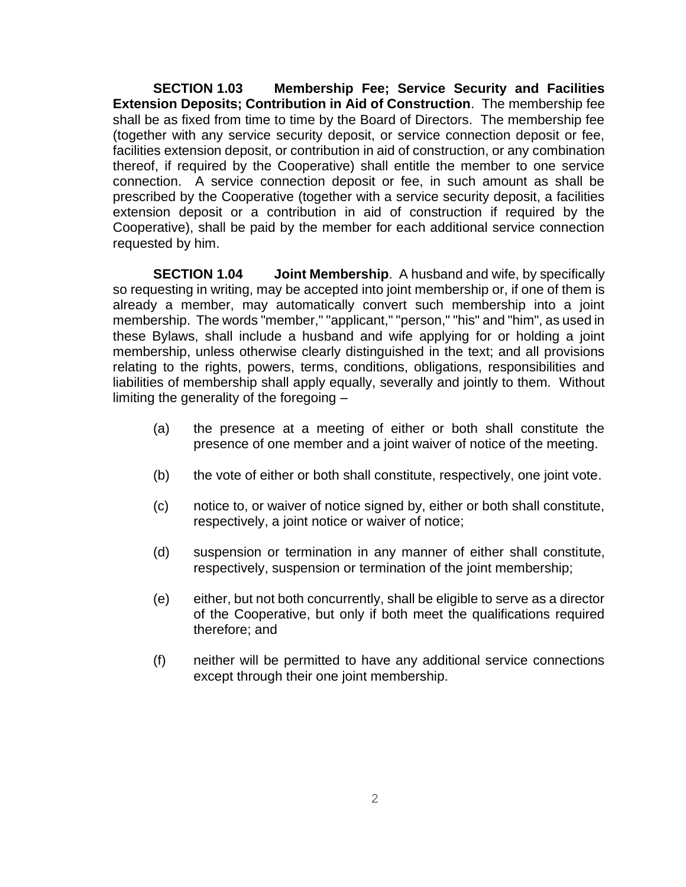**SECTION 1.03 Membership Fee; Service Security and Facilities Extension Deposits; Contribution in Aid of Construction**. The membership fee shall be as fixed from time to time by the Board of Directors. The membership fee (together with any service security deposit, or service connection deposit or fee, facilities extension deposit, or contribution in aid of construction, or any combination thereof, if required by the Cooperative) shall entitle the member to one service connection. A service connection deposit or fee, in such amount as shall be prescribed by the Cooperative (together with a service security deposit, a facilities extension deposit or a contribution in aid of construction if required by the Cooperative), shall be paid by the member for each additional service connection requested by him.

**SECTION 1.04 Joint Membership**. A husband and wife, by specifically so requesting in writing, may be accepted into joint membership or, if one of them is already a member, may automatically convert such membership into a joint membership. The words "member," "applicant," "person," "his" and "him", as used in these Bylaws, shall include a husband and wife applying for or holding a joint membership, unless otherwise clearly distinguished in the text; and all provisions relating to the rights, powers, terms, conditions, obligations, responsibilities and liabilities of membership shall apply equally, severally and jointly to them. Without limiting the generality of the foregoing –

- (a) the presence at a meeting of either or both shall constitute the presence of one member and a joint waiver of notice of the meeting.
- (b) the vote of either or both shall constitute, respectively, one joint vote.
- (c) notice to, or waiver of notice signed by, either or both shall constitute, respectively, a joint notice or waiver of notice;
- (d) suspension or termination in any manner of either shall constitute, respectively, suspension or termination of the joint membership;
- (e) either, but not both concurrently, shall be eligible to serve as a director of the Cooperative, but only if both meet the qualifications required therefore; and
- (f) neither will be permitted to have any additional service connections except through their one joint membership.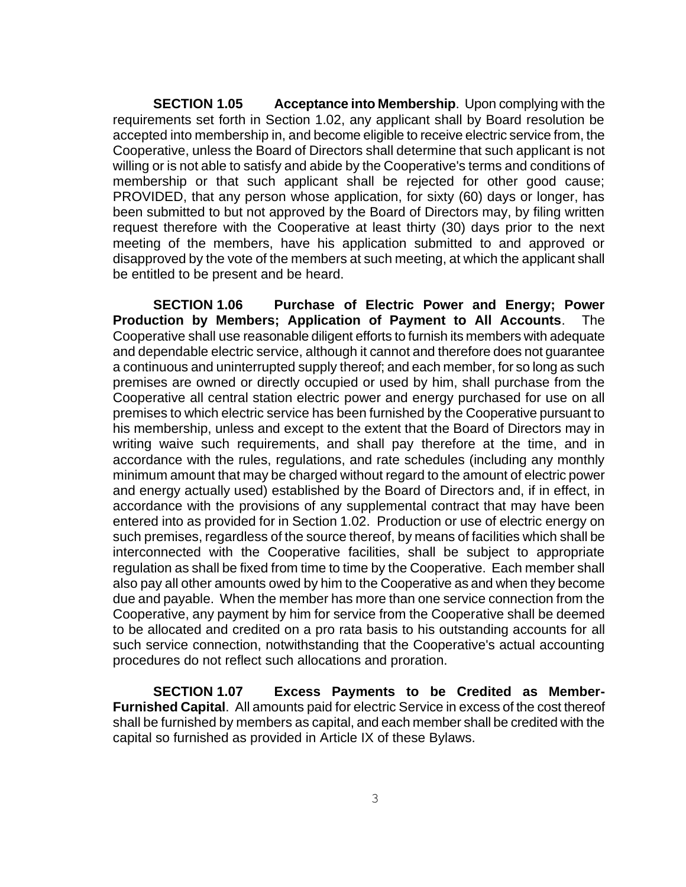**SECTION 1.05 Acceptance into Membership**. Upon complying with the requirements set forth in Section 1.02, any applicant shall by Board resolution be accepted into membership in, and become eligible to receive electric service from, the Cooperative, unless the Board of Directors shall determine that such applicant is not willing or is not able to satisfy and abide by the Cooperative's terms and conditions of membership or that such applicant shall be rejected for other good cause; PROVIDED, that any person whose application, for sixty (60) days or longer, has been submitted to but not approved by the Board of Directors may, by filing written request therefore with the Cooperative at least thirty (30) days prior to the next meeting of the members, have his application submitted to and approved or disapproved by the vote of the members at such meeting, at which the applicant shall be entitled to be present and be heard.

**SECTION 1.06 Purchase of Electric Power and Energy; Power Production by Members; Application of Payment to All Accounts**. The Cooperative shall use reasonable diligent efforts to furnish its members with adequate and dependable electric service, although it cannot and therefore does not guarantee a continuous and uninterrupted supply thereof; and each member, for so long as such premises are owned or directly occupied or used by him, shall purchase from the Cooperative all central station electric power and energy purchased for use on all premises to which electric service has been furnished by the Cooperative pursuant to his membership, unless and except to the extent that the Board of Directors may in writing waive such requirements, and shall pay therefore at the time, and in accordance with the rules, regulations, and rate schedules (including any monthly minimum amount that may be charged without regard to the amount of electric power and energy actually used) established by the Board of Directors and, if in effect, in accordance with the provisions of any supplemental contract that may have been entered into as provided for in Section 1.02. Production or use of electric energy on such premises, regardless of the source thereof, by means of facilities which shall be interconnected with the Cooperative facilities, shall be subject to appropriate regulation as shall be fixed from time to time by the Cooperative. Each member shall also pay all other amounts owed by him to the Cooperative as and when they become due and payable. When the member has more than one service connection from the Cooperative, any payment by him for service from the Cooperative shall be deemed to be allocated and credited on a pro rata basis to his outstanding accounts for all such service connection, notwithstanding that the Cooperative's actual accounting procedures do not reflect such allocations and proration.

**SECTION 1.07 Excess Payments to be Credited as Member-Furnished Capital**. All amounts paid for electric Service in excess of the cost thereof shall be furnished by members as capital, and each member shall be credited with the capital so furnished as provided in Article IX of these Bylaws.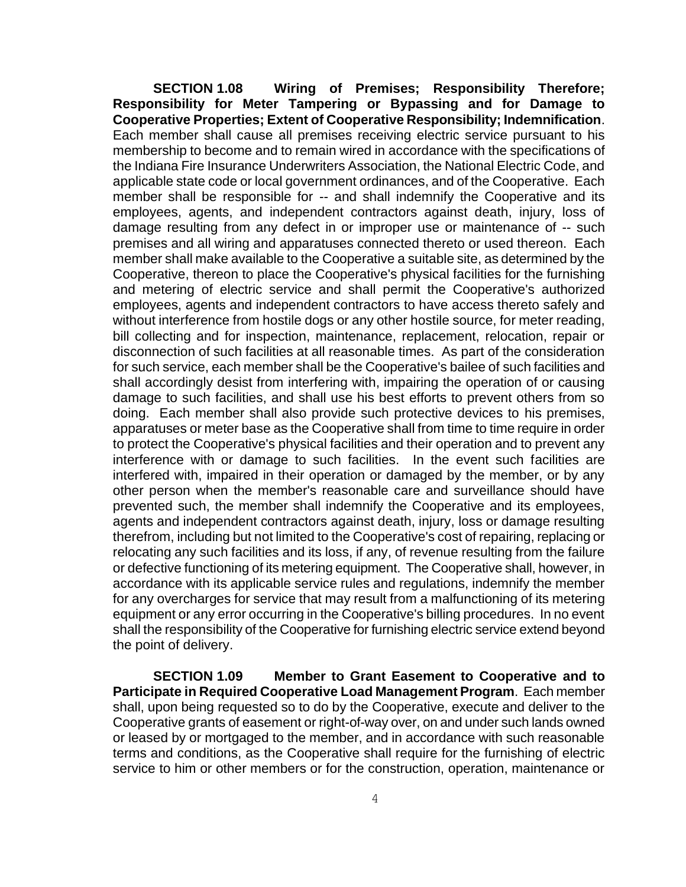**SECTION 1.08 Wiring of Premises; Responsibility Therefore; Responsibility for Meter Tampering or Bypassing and for Damage to Cooperative Properties; Extent of Cooperative Responsibility; Indemnification**. Each member shall cause all premises receiving electric service pursuant to his membership to become and to remain wired in accordance with the specifications of the Indiana Fire Insurance Underwriters Association, the National Electric Code, and applicable state code or local government ordinances, and of the Cooperative. Each member shall be responsible for -- and shall indemnify the Cooperative and its employees, agents, and independent contractors against death, injury, loss of damage resulting from any defect in or improper use or maintenance of -- such premises and all wiring and apparatuses connected thereto or used thereon. Each member shall make available to the Cooperative a suitable site, as determined by the Cooperative, thereon to place the Cooperative's physical facilities for the furnishing and metering of electric service and shall permit the Cooperative's authorized employees, agents and independent contractors to have access thereto safely and without interference from hostile dogs or any other hostile source, for meter reading, bill collecting and for inspection, maintenance, replacement, relocation, repair or disconnection of such facilities at all reasonable times. As part of the consideration for such service, each member shall be the Cooperative's bailee of such facilities and shall accordingly desist from interfering with, impairing the operation of or causing damage to such facilities, and shall use his best efforts to prevent others from so doing. Each member shall also provide such protective devices to his premises, apparatuses or meter base as the Cooperative shall from time to time require in order to protect the Cooperative's physical facilities and their operation and to prevent any interference with or damage to such facilities. In the event such facilities are interfered with, impaired in their operation or damaged by the member, or by any other person when the member's reasonable care and surveillance should have prevented such, the member shall indemnify the Cooperative and its employees, agents and independent contractors against death, injury, loss or damage resulting therefrom, including but not limited to the Cooperative's cost of repairing, replacing or relocating any such facilities and its loss, if any, of revenue resulting from the failure or defective functioning of its metering equipment. The Cooperative shall, however, in accordance with its applicable service rules and regulations, indemnify the member for any overcharges for service that may result from a malfunctioning of its metering equipment or any error occurring in the Cooperative's billing procedures. In no event shall the responsibility of the Cooperative for furnishing electric service extend beyond the point of delivery.

**SECTION 1.09 Member to Grant Easement to Cooperative and to Participate in Required Cooperative Load Management Program**. Each member shall, upon being requested so to do by the Cooperative, execute and deliver to the Cooperative grants of easement or right-of-way over, on and under such lands owned or leased by or mortgaged to the member, and in accordance with such reasonable terms and conditions, as the Cooperative shall require for the furnishing of electric service to him or other members or for the construction, operation, maintenance or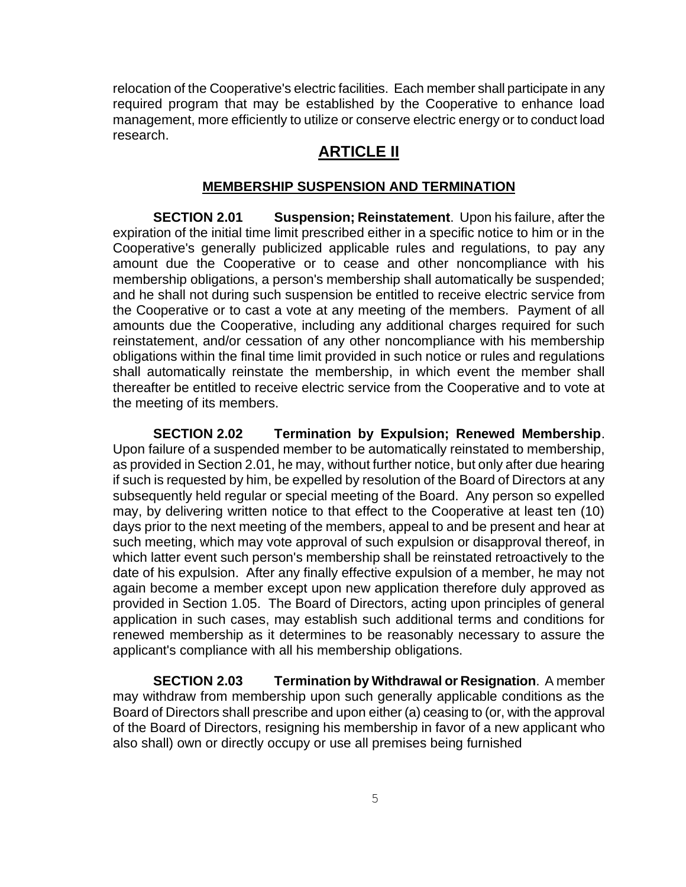relocation of the Cooperative's electric facilities. Each member shall participate in any required program that may be established by the Cooperative to enhance load management, more efficiently to utilize or conserve electric energy or to conduct load research.

## **ARTICLE II**

#### **MEMBERSHIP SUSPENSION AND TERMINATION**

**SECTION 2.01 Suspension; Reinstatement**. Upon his failure, after the expiration of the initial time limit prescribed either in a specific notice to him or in the Cooperative's generally publicized applicable rules and regulations, to pay any amount due the Cooperative or to cease and other noncompliance with his membership obligations, a person's membership shall automatically be suspended; and he shall not during such suspension be entitled to receive electric service from the Cooperative or to cast a vote at any meeting of the members. Payment of all amounts due the Cooperative, including any additional charges required for such reinstatement, and/or cessation of any other noncompliance with his membership obligations within the final time limit provided in such notice or rules and regulations shall automatically reinstate the membership, in which event the member shall thereafter be entitled to receive electric service from the Cooperative and to vote at the meeting of its members.

**SECTION 2.02 Termination by Expulsion; Renewed Membership**. Upon failure of a suspended member to be automatically reinstated to membership, as provided in Section 2.01, he may, without further notice, but only after due hearing if such is requested by him, be expelled by resolution of the Board of Directors at any subsequently held regular or special meeting of the Board. Any person so expelled may, by delivering written notice to that effect to the Cooperative at least ten (10) days prior to the next meeting of the members, appeal to and be present and hear at such meeting, which may vote approval of such expulsion or disapproval thereof, in which latter event such person's membership shall be reinstated retroactively to the date of his expulsion. After any finally effective expulsion of a member, he may not again become a member except upon new application therefore duly approved as provided in Section 1.05. The Board of Directors, acting upon principles of general application in such cases, may establish such additional terms and conditions for renewed membership as it determines to be reasonably necessary to assure the applicant's compliance with all his membership obligations.

**SECTION 2.03 Termination by Withdrawal or Resignation**. A member may withdraw from membership upon such generally applicable conditions as the Board of Directors shall prescribe and upon either (a) ceasing to (or, with the approval of the Board of Directors, resigning his membership in favor of a new applicant who also shall) own or directly occupy or use all premises being furnished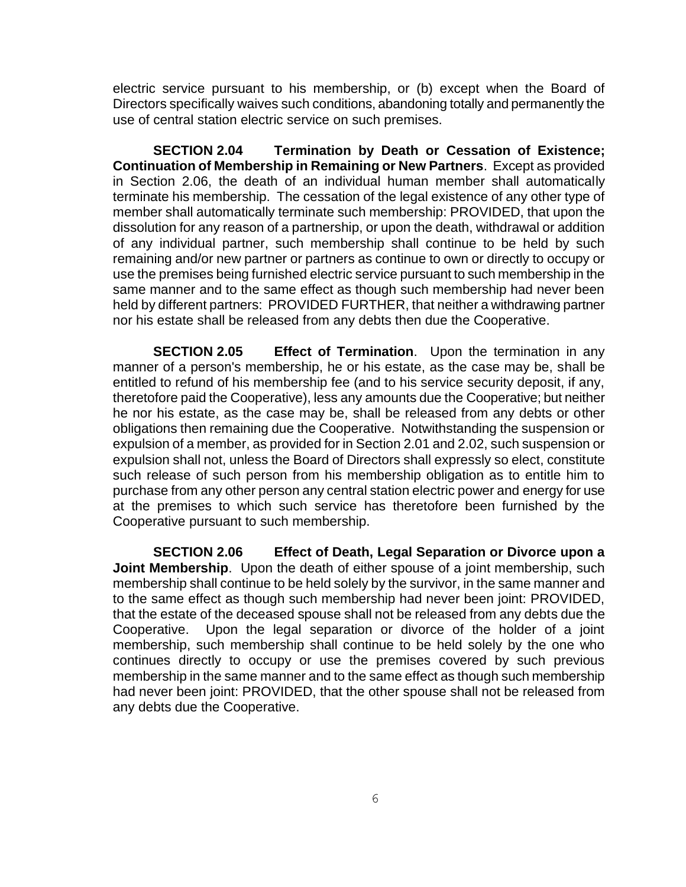electric service pursuant to his membership, or (b) except when the Board of Directors specifically waives such conditions, abandoning totally and permanently the use of central station electric service on such premises.

**SECTION 2.04 Termination by Death or Cessation of Existence; Continuation of Membership in Remaining or New Partners**. Except as provided in Section 2.06, the death of an individual human member shall automatically terminate his membership. The cessation of the legal existence of any other type of member shall automatically terminate such membership: PROVIDED, that upon the dissolution for any reason of a partnership, or upon the death, withdrawal or addition of any individual partner, such membership shall continue to be held by such remaining and/or new partner or partners as continue to own or directly to occupy or use the premises being furnished electric service pursuant to such membership in the same manner and to the same effect as though such membership had never been held by different partners: PROVIDED FURTHER, that neither a withdrawing partner nor his estate shall be released from any debts then due the Cooperative.

**SECTION 2.05 Effect of Termination**. Upon the termination in any manner of a person's membership, he or his estate, as the case may be, shall be entitled to refund of his membership fee (and to his service security deposit, if any, theretofore paid the Cooperative), less any amounts due the Cooperative; but neither he nor his estate, as the case may be, shall be released from any debts or other obligations then remaining due the Cooperative. Notwithstanding the suspension or expulsion of a member, as provided for in Section 2.01 and 2.02, such suspension or expulsion shall not, unless the Board of Directors shall expressly so elect, constitute such release of such person from his membership obligation as to entitle him to purchase from any other person any central station electric power and energy for use at the premises to which such service has theretofore been furnished by the Cooperative pursuant to such membership.

**SECTION 2.06 Effect of Death, Legal Separation or Divorce upon a Joint Membership**. Upon the death of either spouse of a joint membership, such membership shall continue to be held solely by the survivor, in the same manner and to the same effect as though such membership had never been joint: PROVIDED, that the estate of the deceased spouse shall not be released from any debts due the Cooperative. Upon the legal separation or divorce of the holder of a joint membership, such membership shall continue to be held solely by the one who continues directly to occupy or use the premises covered by such previous membership in the same manner and to the same effect as though such membership had never been joint: PROVIDED, that the other spouse shall not be released from any debts due the Cooperative.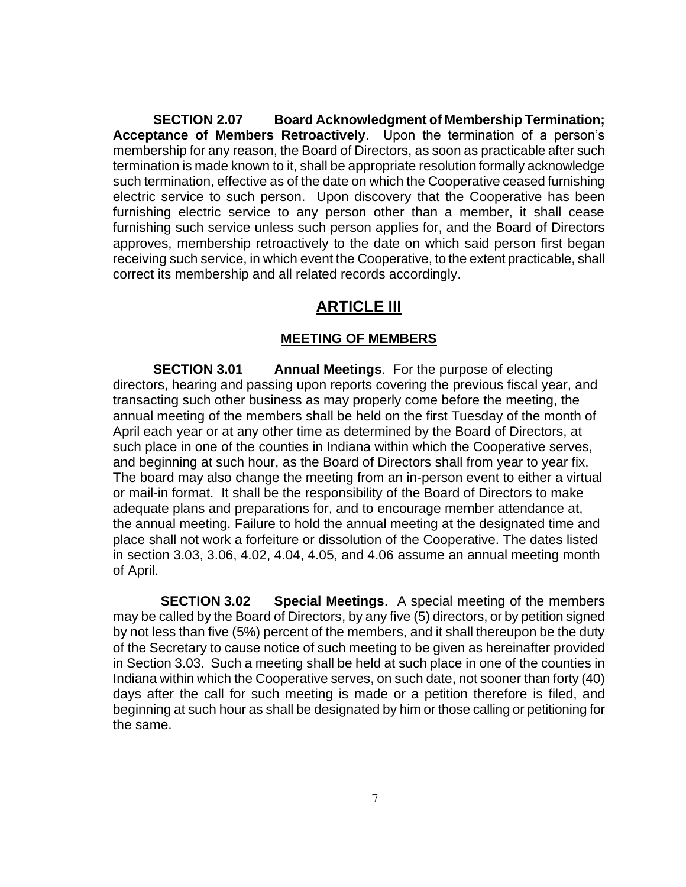**SECTION 2.07 Board Acknowledgment of Membership Termination; Acceptance of Members Retroactively**. Upon the termination of a person's membership for any reason, the Board of Directors, as soon as practicable after such termination is made known to it, shall be appropriate resolution formally acknowledge such termination, effective as of the date on which the Cooperative ceased furnishing electric service to such person. Upon discovery that the Cooperative has been furnishing electric service to any person other than a member, it shall cease furnishing such service unless such person applies for, and the Board of Directors approves, membership retroactively to the date on which said person first began receiving such service, in which event the Cooperative, to the extent practicable, shall correct its membership and all related records accordingly.

# **ARTICLE III**

### **MEETING OF MEMBERS**

**SECTION 3.01 Annual Meetings**. For the purpose of electing directors, hearing and passing upon reports covering the previous fiscal year, and transacting such other business as may properly come before the meeting, the annual meeting of the members shall be held on the first Tuesday of the month of April each year or at any other time as determined by the Board of Directors, at such place in one of the counties in Indiana within which the Cooperative serves, and beginning at such hour, as the Board of Directors shall from year to year fix. The board may also change the meeting from an in-person event to either a virtual or mail-in format. It shall be the responsibility of the Board of Directors to make adequate plans and preparations for, and to encourage member attendance at, the annual meeting. Failure to hold the annual meeting at the designated time and place shall not work a forfeiture or dissolution of the Cooperative. The dates listed in section 3.03, 3.06, 4.02, 4.04, 4.05, and 4.06 assume an annual meeting month of April.

 **SECTION 3.02 Special Meetings**. A special meeting of the members may be called by the Board of Directors, by any five (5) directors, or by petition signed by not less than five (5%) percent of the members, and it shall thereupon be the duty of the Secretary to cause notice of such meeting to be given as hereinafter provided in Section 3.03. Such a meeting shall be held at such place in one of the counties in Indiana within which the Cooperative serves, on such date, not sooner than forty (40) days after the call for such meeting is made or a petition therefore is filed, and beginning at such hour as shall be designated by him or those calling or petitioning for the same.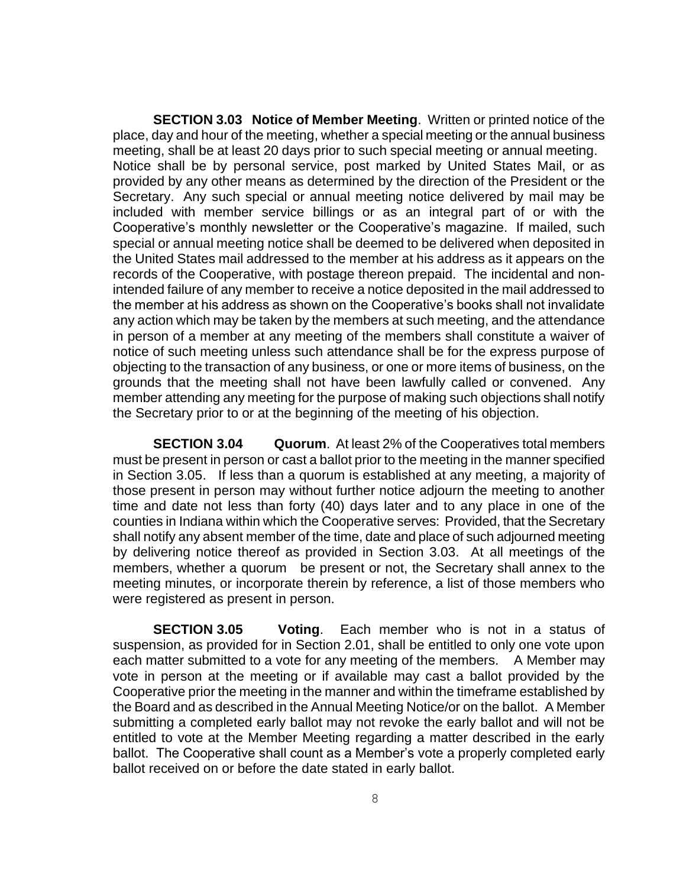**SECTION 3.03 Notice of Member Meeting**. Written or printed notice of the place, day and hour of the meeting, whether a special meeting or the annual business meeting, shall be at least 20 days prior to such special meeting or annual meeting. Notice shall be by personal service, post marked by United States Mail, or as provided by any other means as determined by the direction of the President or the Secretary. Any such special or annual meeting notice delivered by mail may be included with member service billings or as an integral part of or with the Cooperative's monthly newsletter or the Cooperative's magazine. If mailed, such special or annual meeting notice shall be deemed to be delivered when deposited in the United States mail addressed to the member at his address as it appears on the records of the Cooperative, with postage thereon prepaid. The incidental and nonintended failure of any member to receive a notice deposited in the mail addressed to the member at his address as shown on the Cooperative's books shall not invalidate any action which may be taken by the members at such meeting, and the attendance in person of a member at any meeting of the members shall constitute a waiver of notice of such meeting unless such attendance shall be for the express purpose of objecting to the transaction of any business, or one or more items of business, on the grounds that the meeting shall not have been lawfully called or convened. Any member attending any meeting for the purpose of making such objections shall notify the Secretary prior to or at the beginning of the meeting of his objection.

**SECTION 3.04 Quorum**. At least 2% of the Cooperatives total members must be present in person or cast a ballot prior to the meeting in the manner specified in Section 3.05. If less than a quorum is established at any meeting, a majority of those present in person may without further notice adjourn the meeting to another time and date not less than forty (40) days later and to any place in one of the counties in Indiana within which the Cooperative serves: Provided, that the Secretary shall notify any absent member of the time, date and place of such adjourned meeting by delivering notice thereof as provided in Section 3.03. At all meetings of the members, whether a quorum be present or not, the Secretary shall annex to the meeting minutes, or incorporate therein by reference, a list of those members who were registered as present in person.

**SECTION 3.05 Voting**. Each member who is not in a status of suspension, as provided for in Section 2.01, shall be entitled to only one vote upon each matter submitted to a vote for any meeting of the members. A Member may vote in person at the meeting or if available may cast a ballot provided by the Cooperative prior the meeting in the manner and within the timeframe established by the Board and as described in the Annual Meeting Notice/or on the ballot. A Member submitting a completed early ballot may not revoke the early ballot and will not be entitled to vote at the Member Meeting regarding a matter described in the early ballot. The Cooperative shall count as a Member's vote a properly completed early ballot received on or before the date stated in early ballot.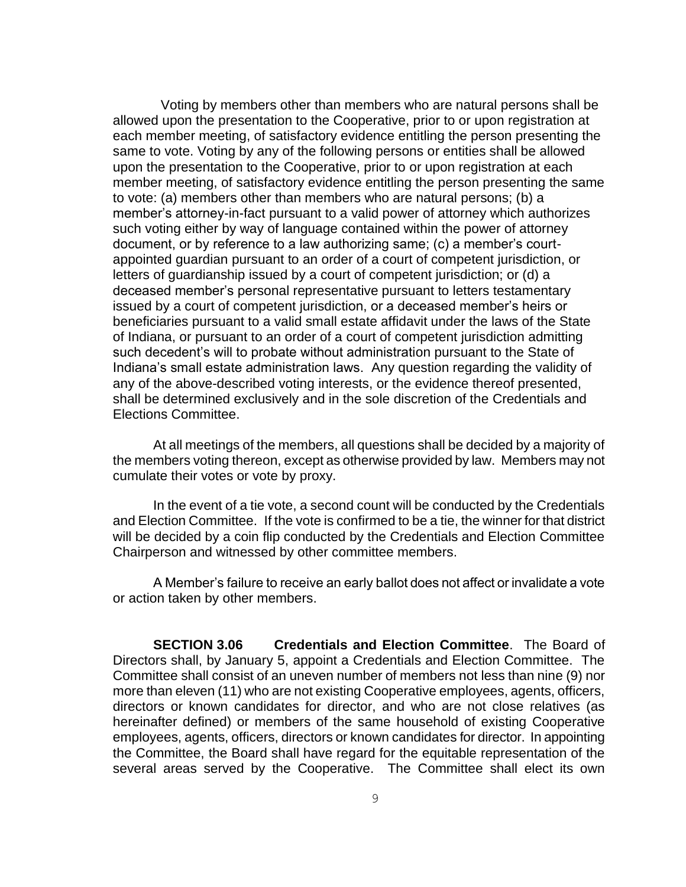Voting by members other than members who are natural persons shall be allowed upon the presentation to the Cooperative, prior to or upon registration at each member meeting, of satisfactory evidence entitling the person presenting the same to vote. Voting by any of the following persons or entities shall be allowed upon the presentation to the Cooperative, prior to or upon registration at each member meeting, of satisfactory evidence entitling the person presenting the same to vote: (a) members other than members who are natural persons; (b) a member's attorney-in-fact pursuant to a valid power of attorney which authorizes such voting either by way of language contained within the power of attorney document, or by reference to a law authorizing same; (c) a member's courtappointed guardian pursuant to an order of a court of competent jurisdiction, or letters of guardianship issued by a court of competent jurisdiction; or (d) a deceased member's personal representative pursuant to letters testamentary issued by a court of competent jurisdiction, or a deceased member's heirs or beneficiaries pursuant to a valid small estate affidavit under the laws of the State of Indiana, or pursuant to an order of a court of competent jurisdiction admitting such decedent's will to probate without administration pursuant to the State of Indiana's small estate administration laws. Any question regarding the validity of any of the above-described voting interests, or the evidence thereof presented, shall be determined exclusively and in the sole discretion of the Credentials and Elections Committee.

At all meetings of the members, all questions shall be decided by a majority of the members voting thereon, except as otherwise provided by law. Members may not cumulate their votes or vote by proxy.

In the event of a tie vote, a second count will be conducted by the Credentials and Election Committee. If the vote is confirmed to be a tie, the winner for that district will be decided by a coin flip conducted by the Credentials and Election Committee Chairperson and witnessed by other committee members.

A Member's failure to receive an early ballot does not affect or invalidate a vote or action taken by other members.

**SECTION 3.06 Credentials and Election Committee**. The Board of Directors shall, by January 5, appoint a Credentials and Election Committee. The Committee shall consist of an uneven number of members not less than nine (9) nor more than eleven (11) who are not existing Cooperative employees, agents, officers, directors or known candidates for director, and who are not close relatives (as hereinafter defined) or members of the same household of existing Cooperative employees, agents, officers, directors or known candidates for director. In appointing the Committee, the Board shall have regard for the equitable representation of the several areas served by the Cooperative. The Committee shall elect its own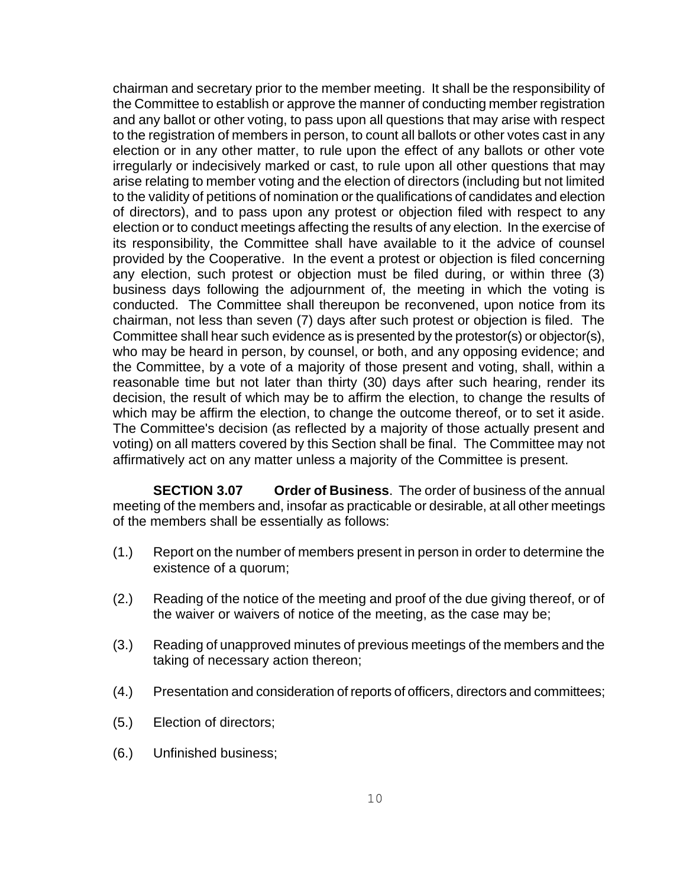chairman and secretary prior to the member meeting. It shall be the responsibility of the Committee to establish or approve the manner of conducting member registration and any ballot or other voting, to pass upon all questions that may arise with respect to the registration of members in person, to count all ballots or other votes cast in any election or in any other matter, to rule upon the effect of any ballots or other vote irregularly or indecisively marked or cast, to rule upon all other questions that may arise relating to member voting and the election of directors (including but not limited to the validity of petitions of nomination or the qualifications of candidates and election of directors), and to pass upon any protest or objection filed with respect to any election or to conduct meetings affecting the results of any election. In the exercise of its responsibility, the Committee shall have available to it the advice of counsel provided by the Cooperative. In the event a protest or objection is filed concerning any election, such protest or objection must be filed during, or within three (3) business days following the adjournment of, the meeting in which the voting is conducted. The Committee shall thereupon be reconvened, upon notice from its chairman, not less than seven (7) days after such protest or objection is filed. The Committee shall hear such evidence as is presented by the protestor(s) or objector(s), who may be heard in person, by counsel, or both, and any opposing evidence; and the Committee, by a vote of a majority of those present and voting, shall, within a reasonable time but not later than thirty (30) days after such hearing, render its decision, the result of which may be to affirm the election, to change the results of which may be affirm the election, to change the outcome thereof, or to set it aside. The Committee's decision (as reflected by a majority of those actually present and voting) on all matters covered by this Section shall be final. The Committee may not affirmatively act on any matter unless a majority of the Committee is present.

**SECTION 3.07 Order of Business**. The order of business of the annual meeting of the members and, insofar as practicable or desirable, at all other meetings of the members shall be essentially as follows:

- (1.) Report on the number of members present in person in order to determine the existence of a quorum;
- (2.) Reading of the notice of the meeting and proof of the due giving thereof, or of the waiver or waivers of notice of the meeting, as the case may be;
- (3.) Reading of unapproved minutes of previous meetings of the members and the taking of necessary action thereon;
- (4.) Presentation and consideration of reports of officers, directors and committees;
- (5.) Election of directors;
- (6.) Unfinished business;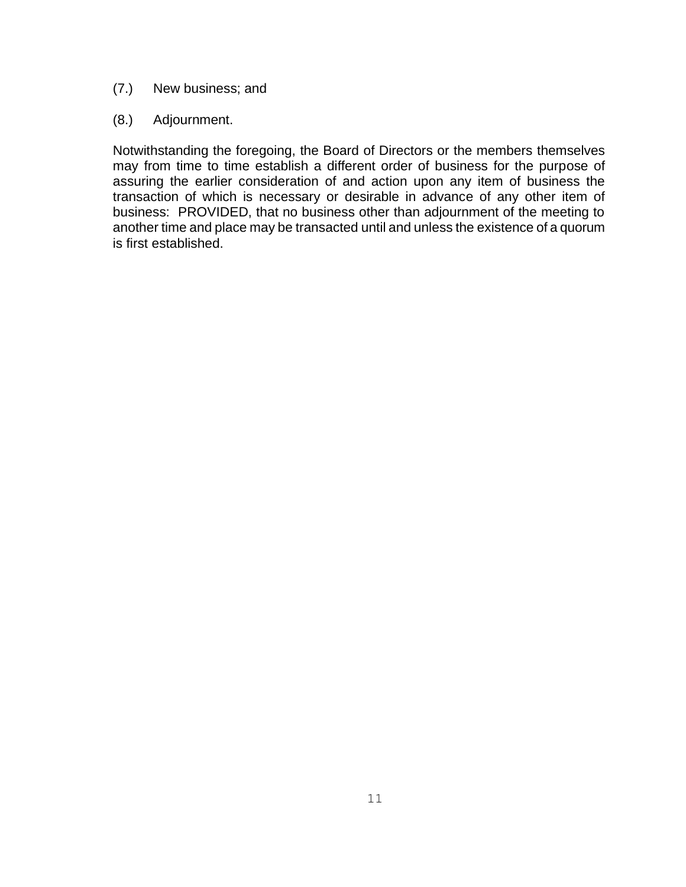### (7.) New business; and

### (8.) Adjournment.

Notwithstanding the foregoing, the Board of Directors or the members themselves may from time to time establish a different order of business for the purpose of assuring the earlier consideration of and action upon any item of business the transaction of which is necessary or desirable in advance of any other item of business: PROVIDED, that no business other than adjournment of the meeting to another time and place may be transacted until and unless the existence of a quorum is first established.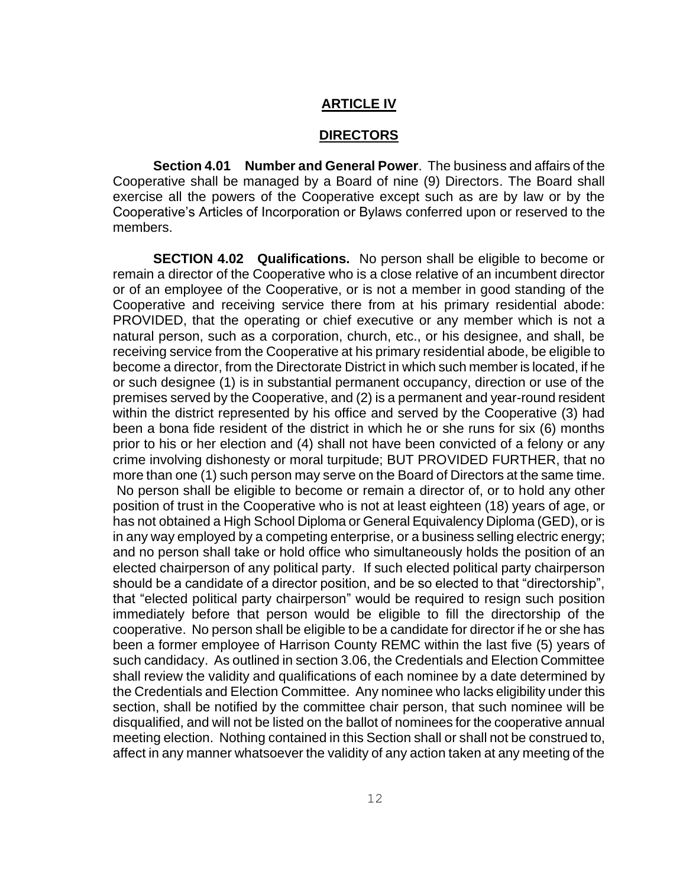### **ARTICLE IV**

#### **DIRECTORS**

**Section 4.01 Number and General Power**. The business and affairs of the Cooperative shall be managed by a Board of nine (9) Directors. The Board shall exercise all the powers of the Cooperative except such as are by law or by the Cooperative's Articles of Incorporation or Bylaws conferred upon or reserved to the members.

**SECTION 4.02 Qualifications.** No person shall be eligible to become or remain a director of the Cooperative who is a close relative of an incumbent director or of an employee of the Cooperative, or is not a member in good standing of the Cooperative and receiving service there from at his primary residential abode: PROVIDED, that the operating or chief executive or any member which is not a natural person, such as a corporation, church, etc., or his designee, and shall, be receiving service from the Cooperative at his primary residential abode, be eligible to become a director, from the Directorate District in which such member is located, if he or such designee (1) is in substantial permanent occupancy, direction or use of the premises served by the Cooperative, and (2) is a permanent and year-round resident within the district represented by his office and served by the Cooperative (3) had been a bona fide resident of the district in which he or she runs for six (6) months prior to his or her election and (4) shall not have been convicted of a felony or any crime involving dishonesty or moral turpitude; BUT PROVIDED FURTHER, that no more than one (1) such person may serve on the Board of Directors at the same time. No person shall be eligible to become or remain a director of, or to hold any other position of trust in the Cooperative who is not at least eighteen (18) years of age, or has not obtained a High School Diploma or General Equivalency Diploma (GED), or is in any way employed by a competing enterprise, or a business selling electric energy; and no person shall take or hold office who simultaneously holds the position of an elected chairperson of any political party. If such elected political party chairperson should be a candidate of a director position, and be so elected to that "directorship", that "elected political party chairperson" would be required to resign such position immediately before that person would be eligible to fill the directorship of the cooperative. No person shall be eligible to be a candidate for director if he or she has been a former employee of Harrison County REMC within the last five (5) years of such candidacy. As outlined in section 3.06, the Credentials and Election Committee shall review the validity and qualifications of each nominee by a date determined by the Credentials and Election Committee. Any nominee who lacks eligibility under this section, shall be notified by the committee chair person, that such nominee will be disqualified, and will not be listed on the ballot of nominees for the cooperative annual meeting election. Nothing contained in this Section shall or shall not be construed to, affect in any manner whatsoever the validity of any action taken at any meeting of the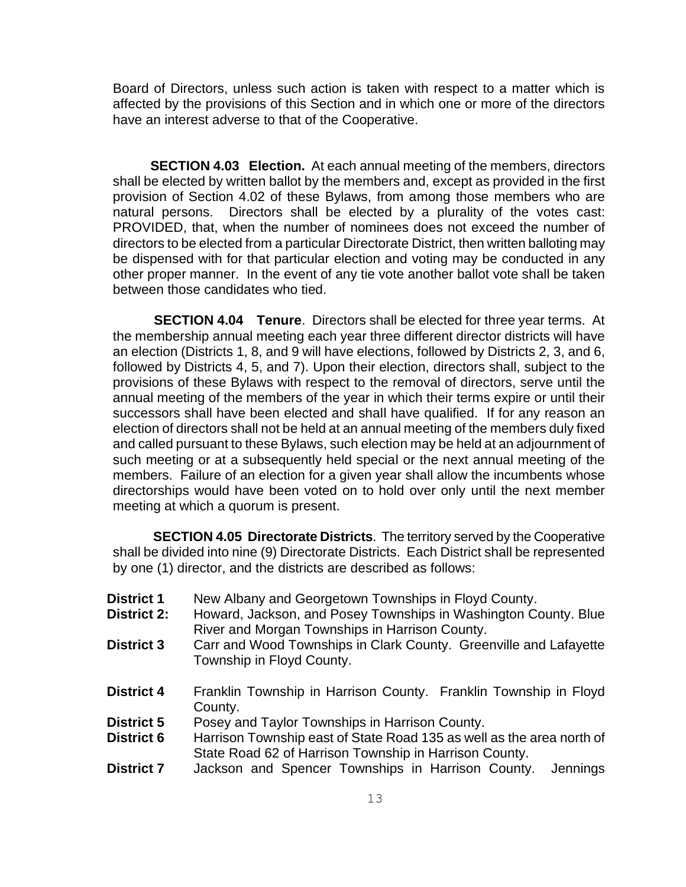Board of Directors, unless such action is taken with respect to a matter which is affected by the provisions of this Section and in which one or more of the directors have an interest adverse to that of the Cooperative.

**SECTION 4.03 Election.** At each annual meeting of the members, directors shall be elected by written ballot by the members and, except as provided in the first provision of Section 4.02 of these Bylaws, from among those members who are natural persons. Directors shall be elected by a plurality of the votes cast: PROVIDED, that, when the number of nominees does not exceed the number of directors to be elected from a particular Directorate District, then written balloting may be dispensed with for that particular election and voting may be conducted in any other proper manner. In the event of any tie vote another ballot vote shall be taken between those candidates who tied.

 **SECTION 4.04 Tenure**. Directors shall be elected for three year terms. At the membership annual meeting each year three different director districts will have an election (Districts 1, 8, and 9 will have elections, followed by Districts 2, 3, and 6, followed by Districts 4, 5, and 7). Upon their election, directors shall, subject to the provisions of these Bylaws with respect to the removal of directors, serve until the annual meeting of the members of the year in which their terms expire or until their successors shall have been elected and shall have qualified. If for any reason an election of directors shall not be held at an annual meeting of the members duly fixed and called pursuant to these Bylaws, such election may be held at an adjournment of such meeting or at a subsequently held special or the next annual meeting of the members. Failure of an election for a given year shall allow the incumbents whose directorships would have been voted on to hold over only until the next member meeting at which a quorum is present.

**SECTION 4.05 Directorate Districts**. The territory served by the Cooperative shall be divided into nine (9) Directorate Districts. Each District shall be represented by one (1) director, and the districts are described as follows:

- **District 1** New Albany and Georgetown Townships in Floyd County.
- **District 2:** Howard, Jackson, and Posey Townships in Washington County. Blue River and Morgan Townships in Harrison County.
- **District 3** Carr and Wood Townships in Clark County. Greenville and Lafayette Township in Floyd County.
- **District 4** Franklin Township in Harrison County. Franklin Township in Floyd County.
- **District 5** Posey and Taylor Townships in Harrison County.
- **District 6** Harrison Township east of State Road 135 as well as the area north of State Road 62 of Harrison Township in Harrison County.
- **District 7** Jackson and Spencer Townships in Harrison County. Jennings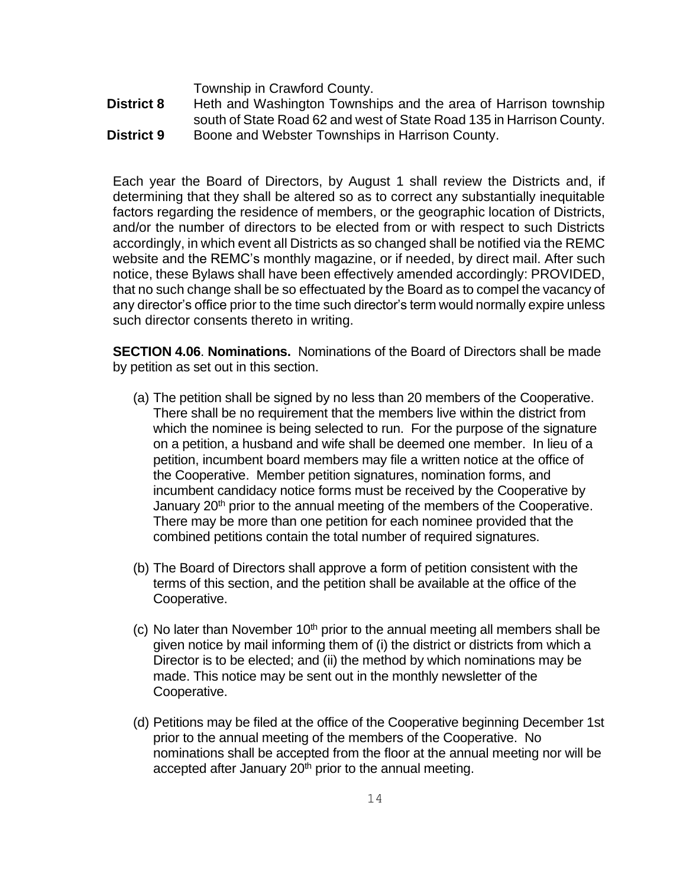Township in Crawford County.

**District 8** Heth and Washington Townships and the area of Harrison township south of State Road 62 and west of State Road 135 in Harrison County. **District 9** Boone and Webster Townships in Harrison County.

Each year the Board of Directors, by August 1 shall review the Districts and, if determining that they shall be altered so as to correct any substantially inequitable factors regarding the residence of members, or the geographic location of Districts, and/or the number of directors to be elected from or with respect to such Districts accordingly, in which event all Districts as so changed shall be notified via the REMC website and the REMC's monthly magazine, or if needed, by direct mail. After such notice, these Bylaws shall have been effectively amended accordingly: PROVIDED, that no such change shall be so effectuated by the Board as to compel the vacancy of any director's office prior to the time such director's term would normally expire unless such director consents thereto in writing.

**SECTION 4.06**. **Nominations.** Nominations of the Board of Directors shall be made by petition as set out in this section.

- (a) The petition shall be signed by no less than 20 members of the Cooperative. There shall be no requirement that the members live within the district from which the nominee is being selected to run. For the purpose of the signature on a petition, a husband and wife shall be deemed one member. In lieu of a petition, incumbent board members may file a written notice at the office of the Cooperative. Member petition signatures, nomination forms, and incumbent candidacy notice forms must be received by the Cooperative by January 20<sup>th</sup> prior to the annual meeting of the members of the Cooperative. There may be more than one petition for each nominee provided that the combined petitions contain the total number of required signatures.
- (b) The Board of Directors shall approve a form of petition consistent with the terms of this section, and the petition shall be available at the office of the Cooperative.
- (c) No later than November  $10<sup>th</sup>$  prior to the annual meeting all members shall be given notice by mail informing them of (i) the district or districts from which a Director is to be elected; and (ii) the method by which nominations may be made. This notice may be sent out in the monthly newsletter of the Cooperative.
- (d) Petitions may be filed at the office of the Cooperative beginning December 1st prior to the annual meeting of the members of the Cooperative. No nominations shall be accepted from the floor at the annual meeting nor will be accepted after January 20<sup>th</sup> prior to the annual meeting.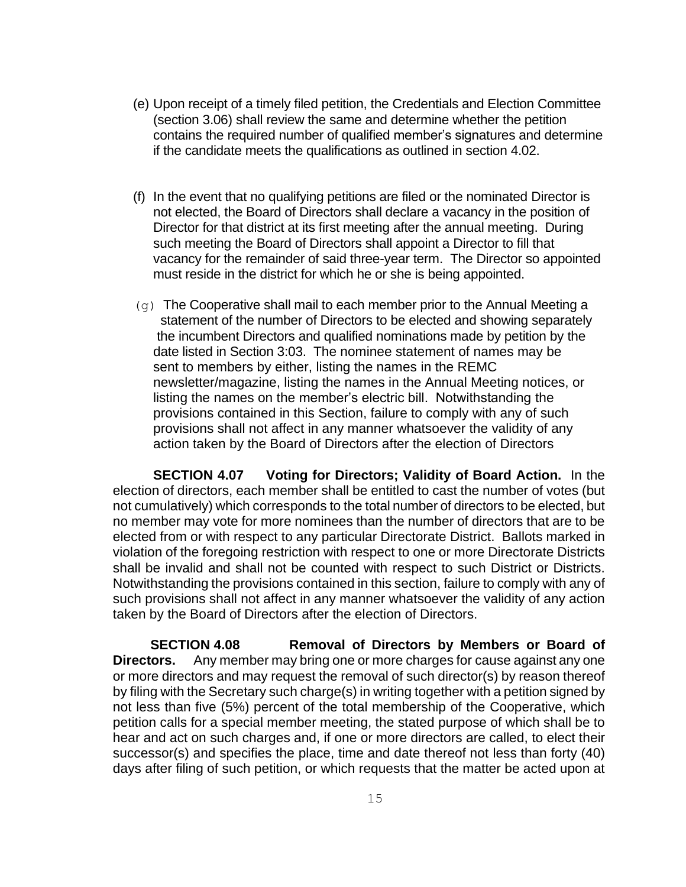- (e) Upon receipt of a timely filed petition, the Credentials and Election Committee (section 3.06) shall review the same and determine whether the petition contains the required number of qualified member's signatures and determine if the candidate meets the qualifications as outlined in section 4.02.
- (f) In the event that no qualifying petitions are filed or the nominated Director is not elected, the Board of Directors shall declare a vacancy in the position of Director for that district at its first meeting after the annual meeting. During such meeting the Board of Directors shall appoint a Director to fill that vacancy for the remainder of said three-year term. The Director so appointed must reside in the district for which he or she is being appointed.
- $(g)$  The Cooperative shall mail to each member prior to the Annual Meeting a statement of the number of Directors to be elected and showing separately the incumbent Directors and qualified nominations made by petition by the date listed in Section 3:03. The nominee statement of names may be sent to members by either, listing the names in the REMC newsletter/magazine, listing the names in the Annual Meeting notices, or listing the names on the member's electric bill. Notwithstanding the provisions contained in this Section, failure to comply with any of such provisions shall not affect in any manner whatsoever the validity of any action taken by the Board of Directors after the election of Directors

**SECTION 4.07 Voting for Directors; Validity of Board Action.** In the election of directors, each member shall be entitled to cast the number of votes (but not cumulatively) which corresponds to the total number of directors to be elected, but no member may vote for more nominees than the number of directors that are to be elected from or with respect to any particular Directorate District. Ballots marked in violation of the foregoing restriction with respect to one or more Directorate Districts shall be invalid and shall not be counted with respect to such District or Districts. Notwithstanding the provisions contained in this section, failure to comply with any of such provisions shall not affect in any manner whatsoever the validity of any action taken by the Board of Directors after the election of Directors.

 **SECTION 4.08 Removal of Directors by Members or Board of Directors.** Any member may bring one or more charges for cause against any one or more directors and may request the removal of such director(s) by reason thereof by filing with the Secretary such charge(s) in writing together with a petition signed by not less than five (5%) percent of the total membership of the Cooperative, which petition calls for a special member meeting, the stated purpose of which shall be to hear and act on such charges and, if one or more directors are called, to elect their successor(s) and specifies the place, time and date thereof not less than forty (40) days after filing of such petition, or which requests that the matter be acted upon at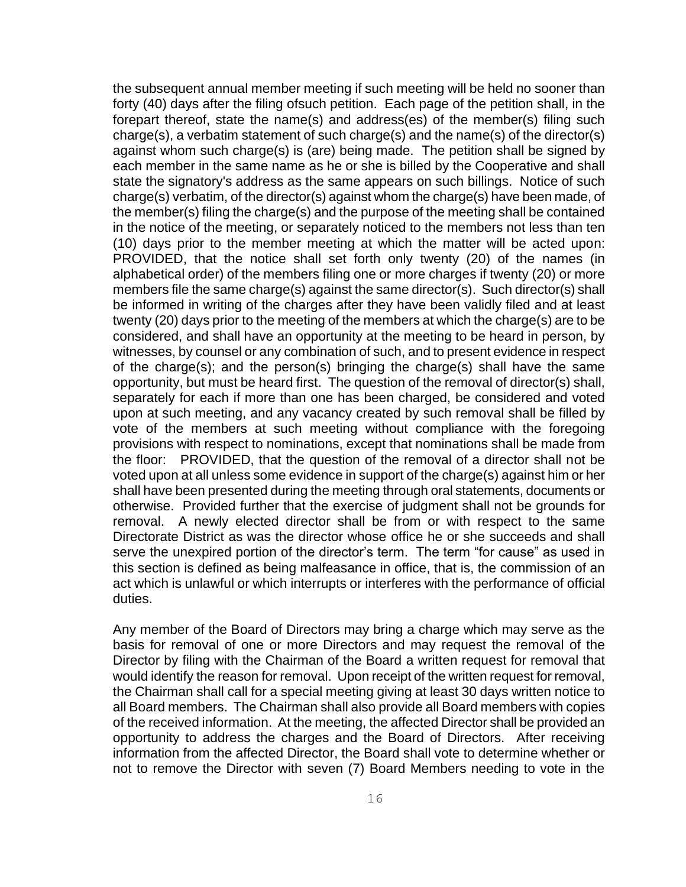the subsequent annual member meeting if such meeting will be held no sooner than forty (40) days after the filing ofsuch petition. Each page of the petition shall, in the forepart thereof, state the name(s) and address(es) of the member(s) filing such charge(s), a verbatim statement of such charge(s) and the name(s) of the director(s) against whom such charge(s) is (are) being made. The petition shall be signed by each member in the same name as he or she is billed by the Cooperative and shall state the signatory's address as the same appears on such billings. Notice of such charge(s) verbatim, of the director(s) against whom the charge(s) have been made, of the member(s) filing the charge(s) and the purpose of the meeting shall be contained in the notice of the meeting, or separately noticed to the members not less than ten (10) days prior to the member meeting at which the matter will be acted upon: PROVIDED, that the notice shall set forth only twenty (20) of the names (in alphabetical order) of the members filing one or more charges if twenty (20) or more members file the same charge(s) against the same director(s). Such director(s) shall be informed in writing of the charges after they have been validly filed and at least twenty (20) days prior to the meeting of the members at which the charge(s) are to be considered, and shall have an opportunity at the meeting to be heard in person, by witnesses, by counsel or any combination of such, and to present evidence in respect of the charge(s); and the person(s) bringing the charge(s) shall have the same opportunity, but must be heard first. The question of the removal of director(s) shall, separately for each if more than one has been charged, be considered and voted upon at such meeting, and any vacancy created by such removal shall be filled by vote of the members at such meeting without compliance with the foregoing provisions with respect to nominations, except that nominations shall be made from the floor: PROVIDED, that the question of the removal of a director shall not be voted upon at all unless some evidence in support of the charge(s) against him or her shall have been presented during the meeting through oral statements, documents or otherwise. Provided further that the exercise of judgment shall not be grounds for removal. A newly elected director shall be from or with respect to the same Directorate District as was the director whose office he or she succeeds and shall serve the unexpired portion of the director's term. The term "for cause" as used in this section is defined as being malfeasance in office, that is, the commission of an act which is unlawful or which interrupts or interferes with the performance of official duties.

Any member of the Board of Directors may bring a charge which may serve as the basis for removal of one or more Directors and may request the removal of the Director by filing with the Chairman of the Board a written request for removal that would identify the reason for removal. Upon receipt of the written request for removal, the Chairman shall call for a special meeting giving at least 30 days written notice to all Board members. The Chairman shall also provide all Board members with copies of the received information. At the meeting, the affected Director shall be provided an opportunity to address the charges and the Board of Directors. After receiving information from the affected Director, the Board shall vote to determine whether or not to remove the Director with seven (7) Board Members needing to vote in the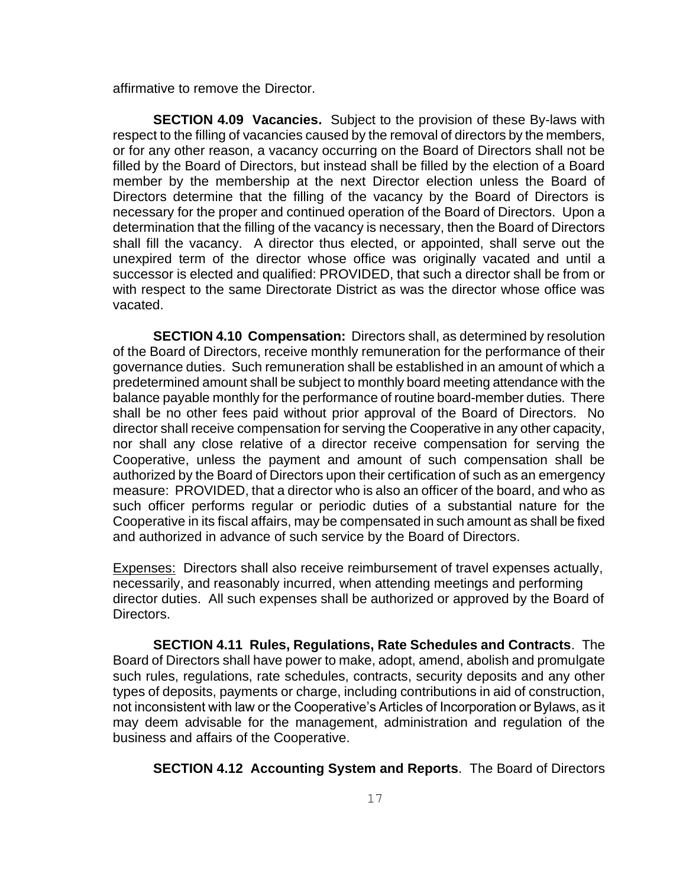affirmative to remove the Director.

**SECTION 4.09 Vacancies.** Subject to the provision of these By-laws with respect to the filling of vacancies caused by the removal of directors by the members, or for any other reason, a vacancy occurring on the Board of Directors shall not be filled by the Board of Directors, but instead shall be filled by the election of a Board member by the membership at the next Director election unless the Board of Directors determine that the filling of the vacancy by the Board of Directors is necessary for the proper and continued operation of the Board of Directors. Upon a determination that the filling of the vacancy is necessary, then the Board of Directors shall fill the vacancy. A director thus elected, or appointed, shall serve out the unexpired term of the director whose office was originally vacated and until a successor is elected and qualified: PROVIDED, that such a director shall be from or with respect to the same Directorate District as was the director whose office was vacated.

**SECTION 4.10 Compensation:** Directors shall, as determined by resolution of the Board of Directors, receive monthly remuneration for the performance of their governance duties. Such remuneration shall be established in an amount of which a predetermined amount shall be subject to monthly board meeting attendance with the balance payable monthly for the performance of routine board-member duties. There shall be no other fees paid without prior approval of the Board of Directors. No director shall receive compensation for serving the Cooperative in any other capacity, nor shall any close relative of a director receive compensation for serving the Cooperative, unless the payment and amount of such compensation shall be authorized by the Board of Directors upon their certification of such as an emergency measure: PROVIDED, that a director who is also an officer of the board, and who as such officer performs regular or periodic duties of a substantial nature for the Cooperative in its fiscal affairs, may be compensated in such amount as shall be fixed and authorized in advance of such service by the Board of Directors.

Expenses: Directors shall also receive reimbursement of travel expenses actually, necessarily, and reasonably incurred, when attending meetings and performing director duties. All such expenses shall be authorized or approved by the Board of Directors.

**SECTION 4.11 Rules, Regulations, Rate Schedules and Contracts**. The Board of Directors shall have power to make, adopt, amend, abolish and promulgate such rules, regulations, rate schedules, contracts, security deposits and any other types of deposits, payments or charge, including contributions in aid of construction, not inconsistent with law or the Cooperative's Articles of Incorporation or Bylaws, as it may deem advisable for the management, administration and regulation of the business and affairs of the Cooperative.

**SECTION 4.12 Accounting System and Reports**. The Board of Directors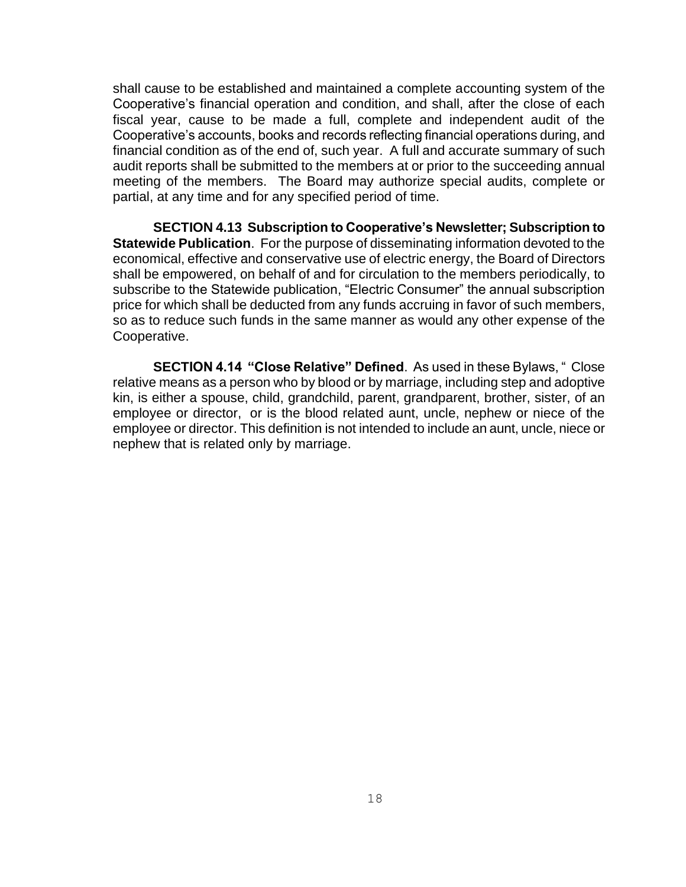shall cause to be established and maintained a complete accounting system of the Cooperative's financial operation and condition, and shall, after the close of each fiscal year, cause to be made a full, complete and independent audit of the Cooperative's accounts, books and records reflecting financial operations during, and financial condition as of the end of, such year. A full and accurate summary of such audit reports shall be submitted to the members at or prior to the succeeding annual meeting of the members. The Board may authorize special audits, complete or partial, at any time and for any specified period of time.

**SECTION 4.13 Subscription to Cooperative's Newsletter; Subscription to Statewide Publication**. For the purpose of disseminating information devoted to the economical, effective and conservative use of electric energy, the Board of Directors shall be empowered, on behalf of and for circulation to the members periodically, to subscribe to the Statewide publication, "Electric Consumer" the annual subscription price for which shall be deducted from any funds accruing in favor of such members, so as to reduce such funds in the same manner as would any other expense of the Cooperative.

**SECTION 4.14 "Close Relative" Defined**. As used in these Bylaws, " Close relative means as a person who by blood or by marriage, including step and adoptive kin, is either a spouse, child, grandchild, parent, grandparent, brother, sister, of an employee or director, or is the blood related aunt, uncle, nephew or niece of the employee or director. This definition is not intended to include an aunt, uncle, niece or nephew that is related only by marriage.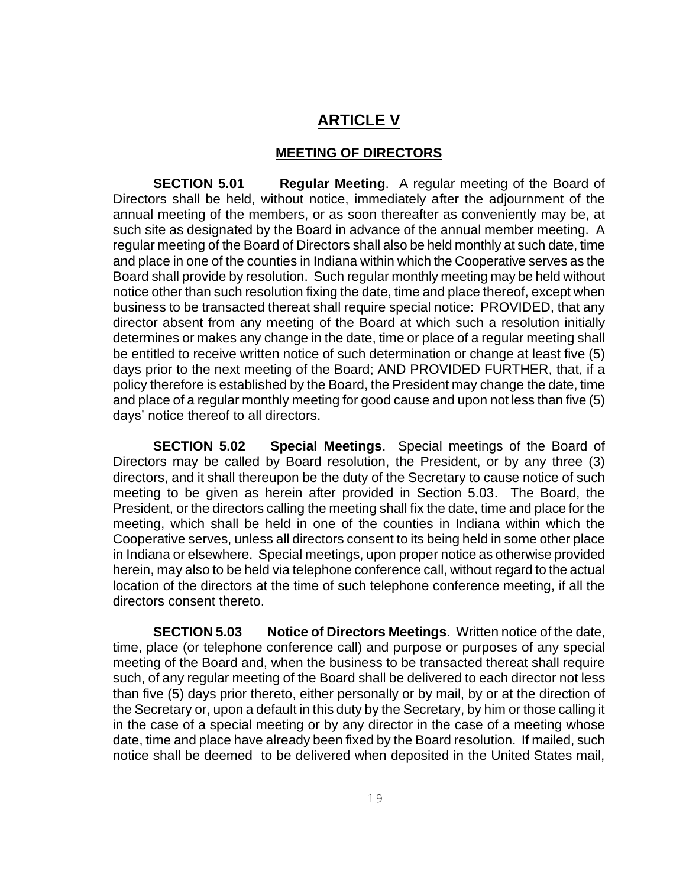# **ARTICLE V**

### **MEETING OF DIRECTORS**

**SECTION 5.01** Regular Meeting. A regular meeting of the Board of Directors shall be held, without notice, immediately after the adjournment of the annual meeting of the members, or as soon thereafter as conveniently may be, at such site as designated by the Board in advance of the annual member meeting. A regular meeting of the Board of Directors shall also be held monthly at such date, time and place in one of the counties in Indiana within which the Cooperative serves as the Board shall provide by resolution. Such regular monthly meeting may be held without notice other than such resolution fixing the date, time and place thereof, except when business to be transacted thereat shall require special notice: PROVIDED, that any director absent from any meeting of the Board at which such a resolution initially determines or makes any change in the date, time or place of a regular meeting shall be entitled to receive written notice of such determination or change at least five (5) days prior to the next meeting of the Board; AND PROVIDED FURTHER, that, if a policy therefore is established by the Board, the President may change the date, time and place of a regular monthly meeting for good cause and upon not less than five (5) days' notice thereof to all directors.

**SECTION 5.02 Special Meetings**. Special meetings of the Board of Directors may be called by Board resolution, the President, or by any three (3) directors, and it shall thereupon be the duty of the Secretary to cause notice of such meeting to be given as herein after provided in Section 5.03. The Board, the President, or the directors calling the meeting shall fix the date, time and place for the meeting, which shall be held in one of the counties in Indiana within which the Cooperative serves, unless all directors consent to its being held in some other place in Indiana or elsewhere. Special meetings, upon proper notice as otherwise provided herein, may also to be held via telephone conference call, without regard to the actual location of the directors at the time of such telephone conference meeting, if all the directors consent thereto.

**SECTION 5.03 Notice of Directors Meetings**. Written notice of the date, time, place (or telephone conference call) and purpose or purposes of any special meeting of the Board and, when the business to be transacted thereat shall require such, of any regular meeting of the Board shall be delivered to each director not less than five (5) days prior thereto, either personally or by mail, by or at the direction of the Secretary or, upon a default in this duty by the Secretary, by him or those calling it in the case of a special meeting or by any director in the case of a meeting whose date, time and place have already been fixed by the Board resolution. If mailed, such notice shall be deemed to be delivered when deposited in the United States mail,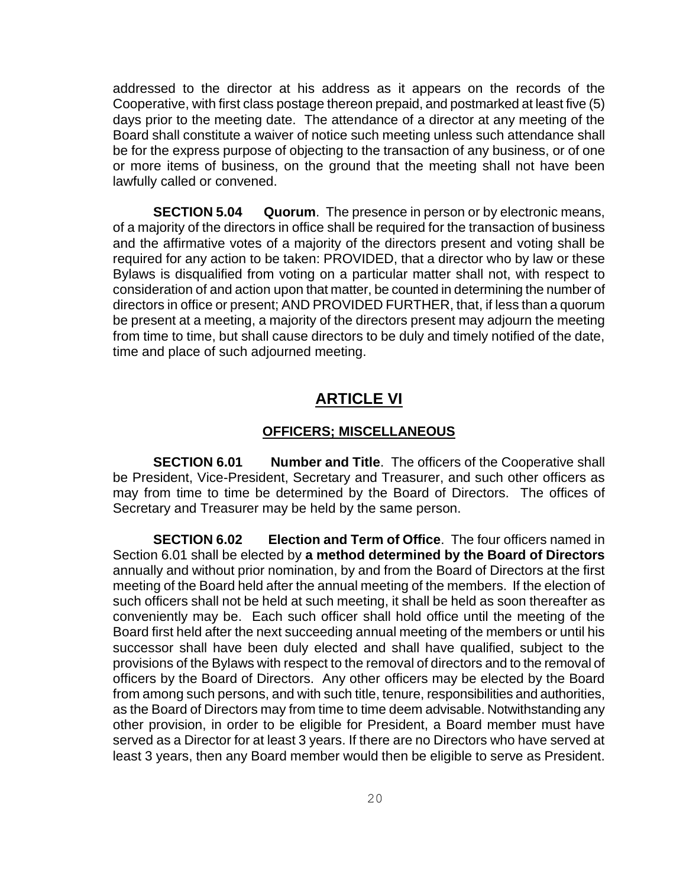addressed to the director at his address as it appears on the records of the Cooperative, with first class postage thereon prepaid, and postmarked at least five (5) days prior to the meeting date. The attendance of a director at any meeting of the Board shall constitute a waiver of notice such meeting unless such attendance shall be for the express purpose of objecting to the transaction of any business, or of one or more items of business, on the ground that the meeting shall not have been lawfully called or convened.

**SECTION 5.04** Quorum. The presence in person or by electronic means, of a majority of the directors in office shall be required for the transaction of business and the affirmative votes of a majority of the directors present and voting shall be required for any action to be taken: PROVIDED, that a director who by law or these Bylaws is disqualified from voting on a particular matter shall not, with respect to consideration of and action upon that matter, be counted in determining the number of directors in office or present; AND PROVIDED FURTHER, that, if less than a quorum be present at a meeting, a majority of the directors present may adjourn the meeting from time to time, but shall cause directors to be duly and timely notified of the date, time and place of such adjourned meeting.

### **ARTICLE VI**

#### **OFFICERS; MISCELLANEOUS**

**SECTION 6.01** Number and Title. The officers of the Cooperative shall be President, Vice-President, Secretary and Treasurer, and such other officers as may from time to time be determined by the Board of Directors. The offices of Secretary and Treasurer may be held by the same person.

**SECTION 6.02 Election and Term of Office**. The four officers named in Section 6.01 shall be elected by **a method determined by the Board of Directors** annually and without prior nomination, by and from the Board of Directors at the first meeting of the Board held after the annual meeting of the members. If the election of such officers shall not be held at such meeting, it shall be held as soon thereafter as conveniently may be. Each such officer shall hold office until the meeting of the Board first held after the next succeeding annual meeting of the members or until his successor shall have been duly elected and shall have qualified, subject to the provisions of the Bylaws with respect to the removal of directors and to the removal of officers by the Board of Directors. Any other officers may be elected by the Board from among such persons, and with such title, tenure, responsibilities and authorities, as the Board of Directors may from time to time deem advisable. Notwithstanding any other provision, in order to be eligible for President, a Board member must have served as a Director for at least 3 years. If there are no Directors who have served at least 3 years, then any Board member would then be eligible to serve as President.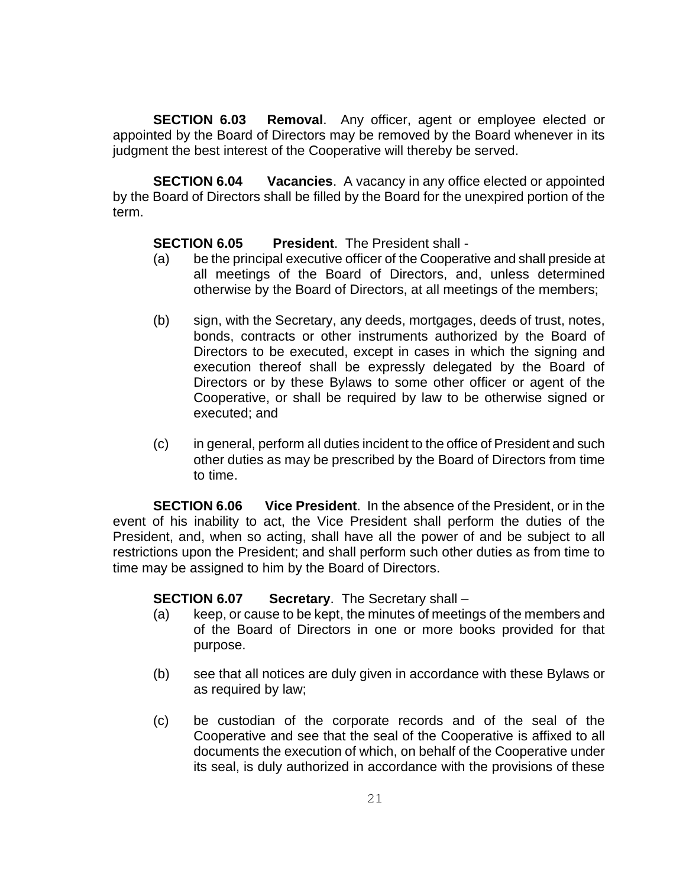**SECTION 6.03 Removal**. Any officer, agent or employee elected or appointed by the Board of Directors may be removed by the Board whenever in its judgment the best interest of the Cooperative will thereby be served.

**SECTION 6.04 Vacancies**. A vacancy in any office elected or appointed by the Board of Directors shall be filled by the Board for the unexpired portion of the term.

### **SECTION 6.05 President**. The President shall -

- (a) be the principal executive officer of the Cooperative and shall preside at all meetings of the Board of Directors, and, unless determined otherwise by the Board of Directors, at all meetings of the members;
- (b) sign, with the Secretary, any deeds, mortgages, deeds of trust, notes, bonds, contracts or other instruments authorized by the Board of Directors to be executed, except in cases in which the signing and execution thereof shall be expressly delegated by the Board of Directors or by these Bylaws to some other officer or agent of the Cooperative, or shall be required by law to be otherwise signed or executed; and
- (c) in general, perform all duties incident to the office of President and such other duties as may be prescribed by the Board of Directors from time to time.

**SECTION 6.06** Vice President. In the absence of the President, or in the event of his inability to act, the Vice President shall perform the duties of the President, and, when so acting, shall have all the power of and be subject to all restrictions upon the President; and shall perform such other duties as from time to time may be assigned to him by the Board of Directors.

### **SECTION 6.07** Secretary. The Secretary shall –

- (a) keep, or cause to be kept, the minutes of meetings of the members and of the Board of Directors in one or more books provided for that purpose.
- (b) see that all notices are duly given in accordance with these Bylaws or as required by law;
- (c) be custodian of the corporate records and of the seal of the Cooperative and see that the seal of the Cooperative is affixed to all documents the execution of which, on behalf of the Cooperative under its seal, is duly authorized in accordance with the provisions of these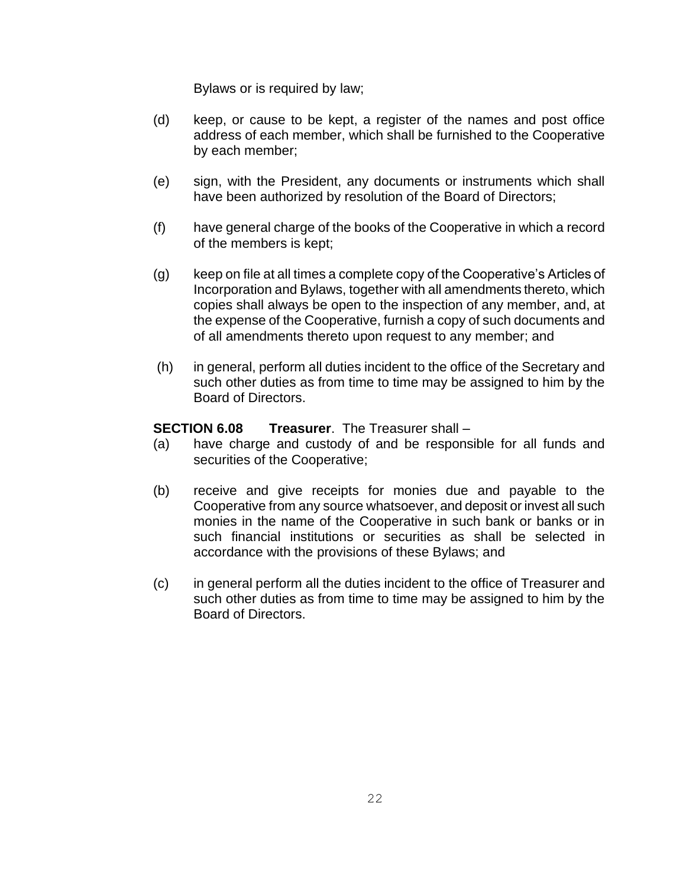Bylaws or is required by law;

- (d) keep, or cause to be kept, a register of the names and post office address of each member, which shall be furnished to the Cooperative by each member;
- (e) sign, with the President, any documents or instruments which shall have been authorized by resolution of the Board of Directors;
- (f) have general charge of the books of the Cooperative in which a record of the members is kept;
- (g) keep on file at all times a complete copy of the Cooperative's Articles of Incorporation and Bylaws, together with all amendments thereto, which copies shall always be open to the inspection of any member, and, at the expense of the Cooperative, furnish a copy of such documents and of all amendments thereto upon request to any member; and
- (h) in general, perform all duties incident to the office of the Secretary and such other duties as from time to time may be assigned to him by the Board of Directors.

### **SECTION 6.08 Treasurer**. The Treasurer shall –

- (a) have charge and custody of and be responsible for all funds and securities of the Cooperative;
- (b) receive and give receipts for monies due and payable to the Cooperative from any source whatsoever, and deposit or invest all such monies in the name of the Cooperative in such bank or banks or in such financial institutions or securities as shall be selected in accordance with the provisions of these Bylaws; and
- (c) in general perform all the duties incident to the office of Treasurer and such other duties as from time to time may be assigned to him by the Board of Directors.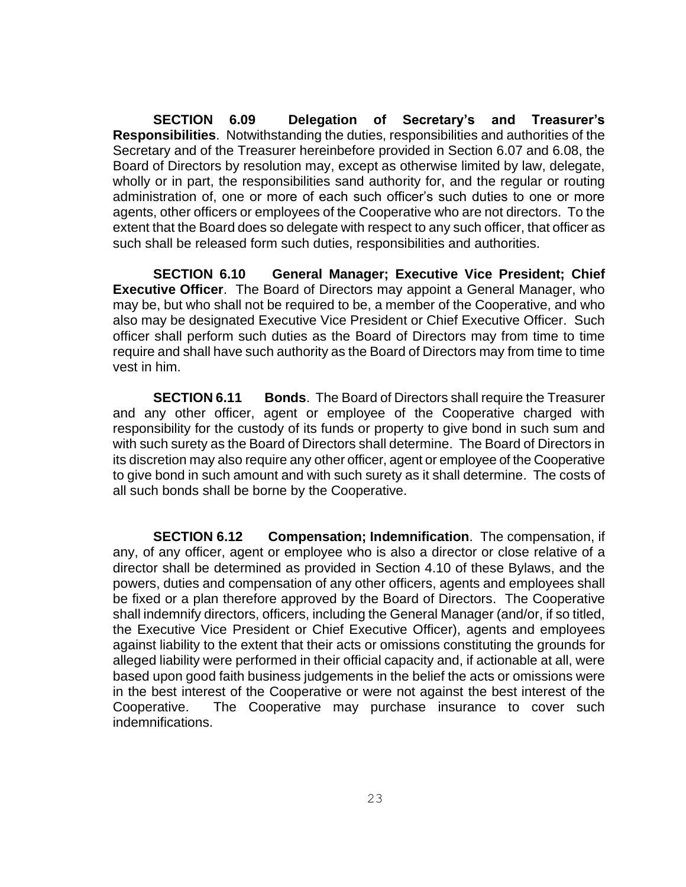**SECTION 6.09 Delegation of Secretary's and Treasurer's Responsibilities**. Notwithstanding the duties, responsibilities and authorities of the Secretary and of the Treasurer hereinbefore provided in Section 6.07 and 6.08, the Board of Directors by resolution may, except as otherwise limited by law, delegate, wholly or in part, the responsibilities sand authority for, and the regular or routing administration of, one or more of each such officer's such duties to one or more agents, other officers or employees of the Cooperative who are not directors. To the extent that the Board does so delegate with respect to any such officer, that officer as such shall be released form such duties, responsibilities and authorities.

**SECTION 6.10 General Manager; Executive Vice President; Chief Executive Officer**. The Board of Directors may appoint a General Manager, who may be, but who shall not be required to be, a member of the Cooperative, and who also may be designated Executive Vice President or Chief Executive Officer. Such officer shall perform such duties as the Board of Directors may from time to time require and shall have such authority as the Board of Directors may from time to time vest in him.

**SECTION 6.11 Bonds**. The Board of Directors shall require the Treasurer and any other officer, agent or employee of the Cooperative charged with responsibility for the custody of its funds or property to give bond in such sum and with such surety as the Board of Directors shall determine. The Board of Directors in its discretion may also require any other officer, agent or employee of the Cooperative to give bond in such amount and with such surety as it shall determine. The costs of all such bonds shall be borne by the Cooperative.

**SECTION 6.12 Compensation; Indemnification**. The compensation, if any, of any officer, agent or employee who is also a director or close relative of a director shall be determined as provided in Section 4.10 of these Bylaws, and the powers, duties and compensation of any other officers, agents and employees shall be fixed or a plan therefore approved by the Board of Directors. The Cooperative shall indemnify directors, officers, including the General Manager (and/or, if so titled, the Executive Vice President or Chief Executive Officer), agents and employees against liability to the extent that their acts or omissions constituting the grounds for alleged liability were performed in their official capacity and, if actionable at all, were based upon good faith business judgements in the belief the acts or omissions were in the best interest of the Cooperative or were not against the best interest of the Cooperative. The Cooperative may purchase insurance to cover such indemnifications.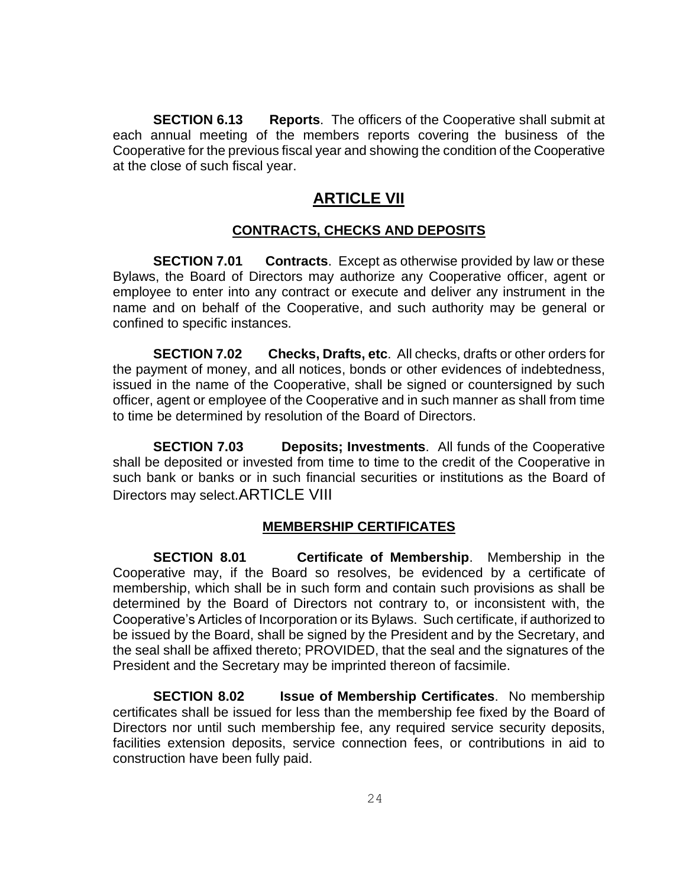**SECTION 6.13 Reports**. The officers of the Cooperative shall submit at each annual meeting of the members reports covering the business of the Cooperative for the previous fiscal year and showing the condition of the Cooperative at the close of such fiscal year.

# **ARTICLE VII**

### **CONTRACTS, CHECKS AND DEPOSITS**

**SECTION 7.01 Contracts**. Except as otherwise provided by law or these Bylaws, the Board of Directors may authorize any Cooperative officer, agent or employee to enter into any contract or execute and deliver any instrument in the name and on behalf of the Cooperative, and such authority may be general or confined to specific instances.

**SECTION 7.02 Checks, Drafts, etc**. All checks, drafts or other orders for the payment of money, and all notices, bonds or other evidences of indebtedness, issued in the name of the Cooperative, shall be signed or countersigned by such officer, agent or employee of the Cooperative and in such manner as shall from time to time be determined by resolution of the Board of Directors.

**SECTION 7.03 Deposits; Investments**. All funds of the Cooperative shall be deposited or invested from time to time to the credit of the Cooperative in such bank or banks or in such financial securities or institutions as the Board of Directors may select.ARTICLE VIII

### **MEMBERSHIP CERTIFICATES**

**SECTION 8.01 Certificate of Membership**. Membership in the Cooperative may, if the Board so resolves, be evidenced by a certificate of membership, which shall be in such form and contain such provisions as shall be determined by the Board of Directors not contrary to, or inconsistent with, the Cooperative's Articles of Incorporation or its Bylaws. Such certificate, if authorized to be issued by the Board, shall be signed by the President and by the Secretary, and the seal shall be affixed thereto; PROVIDED, that the seal and the signatures of the President and the Secretary may be imprinted thereon of facsimile.

**SECTION 8.02 Issue of Membership Certificates**. No membership certificates shall be issued for less than the membership fee fixed by the Board of Directors nor until such membership fee, any required service security deposits, facilities extension deposits, service connection fees, or contributions in aid to construction have been fully paid.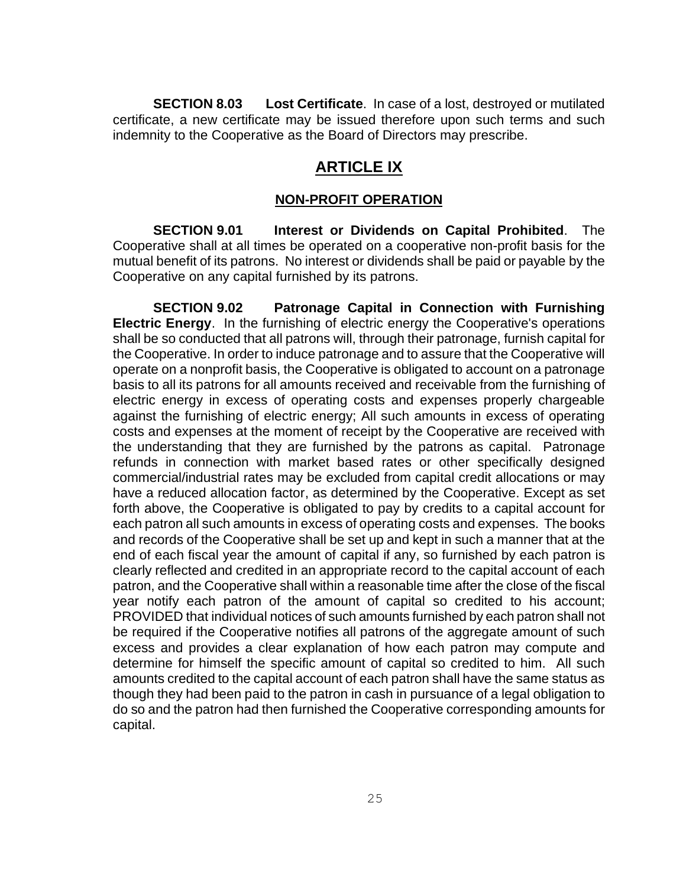**SECTION 8.03 Lost Certificate**. In case of a lost, destroyed or mutilated certificate, a new certificate may be issued therefore upon such terms and such indemnity to the Cooperative as the Board of Directors may prescribe.

# **ARTICLE IX**

### **NON-PROFIT OPERATION**

**SECTION 9.01 Interest or Dividends on Capital Prohibited**. The Cooperative shall at all times be operated on a cooperative non-profit basis for the mutual benefit of its patrons. No interest or dividends shall be paid or payable by the Cooperative on any capital furnished by its patrons.

**SECTION 9.02 Patronage Capital in Connection with Furnishing Electric Energy**. In the furnishing of electric energy the Cooperative's operations shall be so conducted that all patrons will, through their patronage, furnish capital for the Cooperative. In order to induce patronage and to assure that the Cooperative will operate on a nonprofit basis, the Cooperative is obligated to account on a patronage basis to all its patrons for all amounts received and receivable from the furnishing of electric energy in excess of operating costs and expenses properly chargeable against the furnishing of electric energy; All such amounts in excess of operating costs and expenses at the moment of receipt by the Cooperative are received with the understanding that they are furnished by the patrons as capital. Patronage refunds in connection with market based rates or other specifically designed commercial/industrial rates may be excluded from capital credit allocations or may have a reduced allocation factor, as determined by the Cooperative. Except as set forth above, the Cooperative is obligated to pay by credits to a capital account for each patron all such amounts in excess of operating costs and expenses. The books and records of the Cooperative shall be set up and kept in such a manner that at the end of each fiscal year the amount of capital if any, so furnished by each patron is clearly reflected and credited in an appropriate record to the capital account of each patron, and the Cooperative shall within a reasonable time after the close of the fiscal year notify each patron of the amount of capital so credited to his account; PROVIDED that individual notices of such amounts furnished by each patron shall not be required if the Cooperative notifies all patrons of the aggregate amount of such excess and provides a clear explanation of how each patron may compute and determine for himself the specific amount of capital so credited to him. All such amounts credited to the capital account of each patron shall have the same status as though they had been paid to the patron in cash in pursuance of a legal obligation to do so and the patron had then furnished the Cooperative corresponding amounts for capital.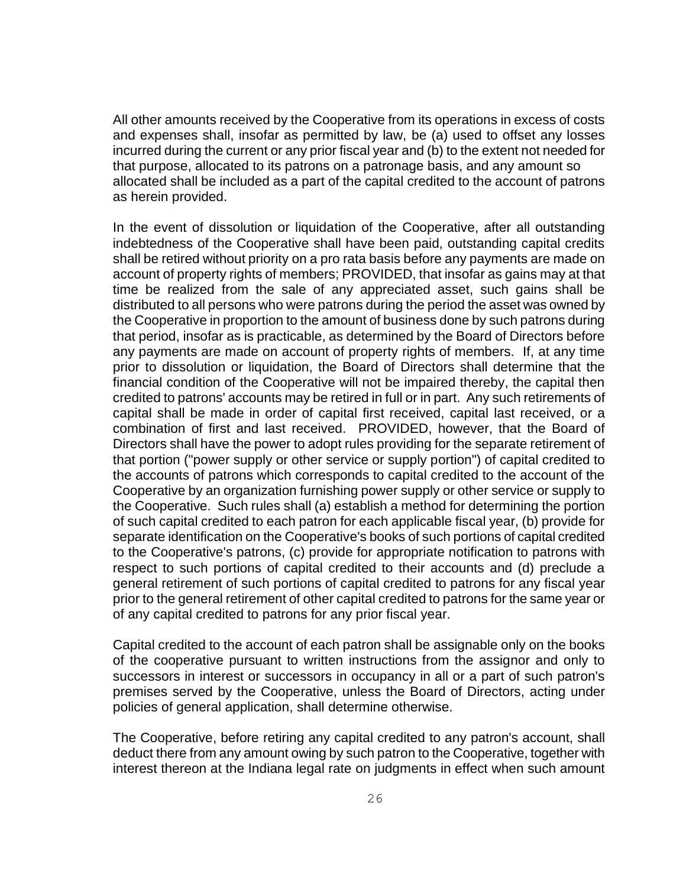All other amounts received by the Cooperative from its operations in excess of costs and expenses shall, insofar as permitted by law, be (a) used to offset any losses incurred during the current or any prior fiscal year and (b) to the extent not needed for that purpose, allocated to its patrons on a patronage basis, and any amount so allocated shall be included as a part of the capital credited to the account of patrons as herein provided.

In the event of dissolution or liquidation of the Cooperative, after all outstanding indebtedness of the Cooperative shall have been paid, outstanding capital credits shall be retired without priority on a pro rata basis before any payments are made on account of property rights of members; PROVIDED, that insofar as gains may at that time be realized from the sale of any appreciated asset, such gains shall be distributed to all persons who were patrons during the period the asset was owned by the Cooperative in proportion to the amount of business done by such patrons during that period, insofar as is practicable, as determined by the Board of Directors before any payments are made on account of property rights of members. If, at any time prior to dissolution or liquidation, the Board of Directors shall determine that the financial condition of the Cooperative will not be impaired thereby, the capital then credited to patrons' accounts may be retired in full or in part. Any such retirements of capital shall be made in order of capital first received, capital last received, or a combination of first and last received. PROVIDED, however, that the Board of Directors shall have the power to adopt rules providing for the separate retirement of that portion ("power supply or other service or supply portion") of capital credited to the accounts of patrons which corresponds to capital credited to the account of the Cooperative by an organization furnishing power supply or other service or supply to the Cooperative. Such rules shall (a) establish a method for determining the portion of such capital credited to each patron for each applicable fiscal year, (b) provide for separate identification on the Cooperative's books of such portions of capital credited to the Cooperative's patrons, (c) provide for appropriate notification to patrons with respect to such portions of capital credited to their accounts and (d) preclude a general retirement of such portions of capital credited to patrons for any fiscal year prior to the general retirement of other capital credited to patrons for the same year or of any capital credited to patrons for any prior fiscal year.

Capital credited to the account of each patron shall be assignable only on the books of the cooperative pursuant to written instructions from the assignor and only to successors in interest or successors in occupancy in all or a part of such patron's premises served by the Cooperative, unless the Board of Directors, acting under policies of general application, shall determine otherwise.

The Cooperative, before retiring any capital credited to any patron's account, shall deduct there from any amount owing by such patron to the Cooperative, together with interest thereon at the Indiana legal rate on judgments in effect when such amount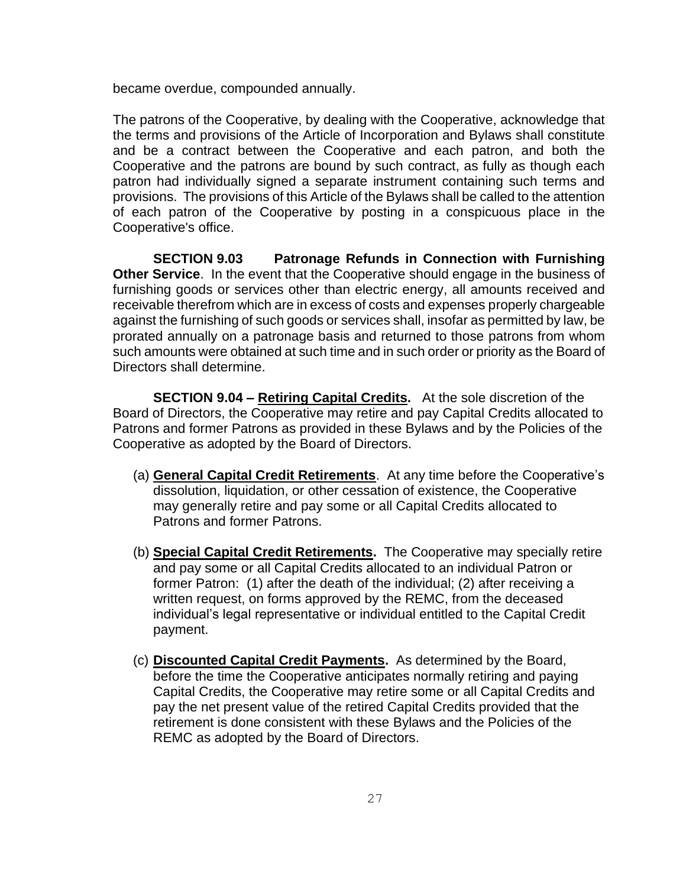became overdue, compounded annually.

The patrons of the Cooperative, by dealing with the Cooperative, acknowledge that the terms and provisions of the Article of Incorporation and Bylaws shall constitute and be a contract between the Cooperative and each patron, and both the Cooperative and the patrons are bound by such contract, as fully as though each patron had individually signed a separate instrument containing such terms and provisions. The provisions of this Article of the Bylaws shall be called to the attention of each patron of the Cooperative by posting in a conspicuous place in the Cooperative's office.

**SECTION 9.03 Patronage Refunds in Connection with Furnishing Other Service**. In the event that the Cooperative should engage in the business of furnishing goods or services other than electric energy, all amounts received and receivable therefrom which are in excess of costs and expenses properly chargeable against the furnishing of such goods or services shall, insofar as permitted by law, be prorated annually on a patronage basis and returned to those patrons from whom such amounts were obtained at such time and in such order or priority as the Board of Directors shall determine.

**SECTION 9.04 – Retiring Capital Credits.** At the sole discretion of the Board of Directors, the Cooperative may retire and pay Capital Credits allocated to Patrons and former Patrons as provided in these Bylaws and by the Policies of the Cooperative as adopted by the Board of Directors.

- (a) **General Capital Credit Retirements**. At any time before the Cooperative's dissolution, liquidation, or other cessation of existence, the Cooperative may generally retire and pay some or all Capital Credits allocated to Patrons and former Patrons.
- (b) **Special Capital Credit Retirements.** The Cooperative may specially retire and pay some or all Capital Credits allocated to an individual Patron or former Patron: (1) after the death of the individual; (2) after receiving a written request, on forms approved by the REMC, from the deceased individual's legal representative or individual entitled to the Capital Credit payment.
- (c) **Discounted Capital Credit Payments.** As determined by the Board, before the time the Cooperative anticipates normally retiring and paying Capital Credits, the Cooperative may retire some or all Capital Credits and pay the net present value of the retired Capital Credits provided that the retirement is done consistent with these Bylaws and the Policies of the REMC as adopted by the Board of Directors.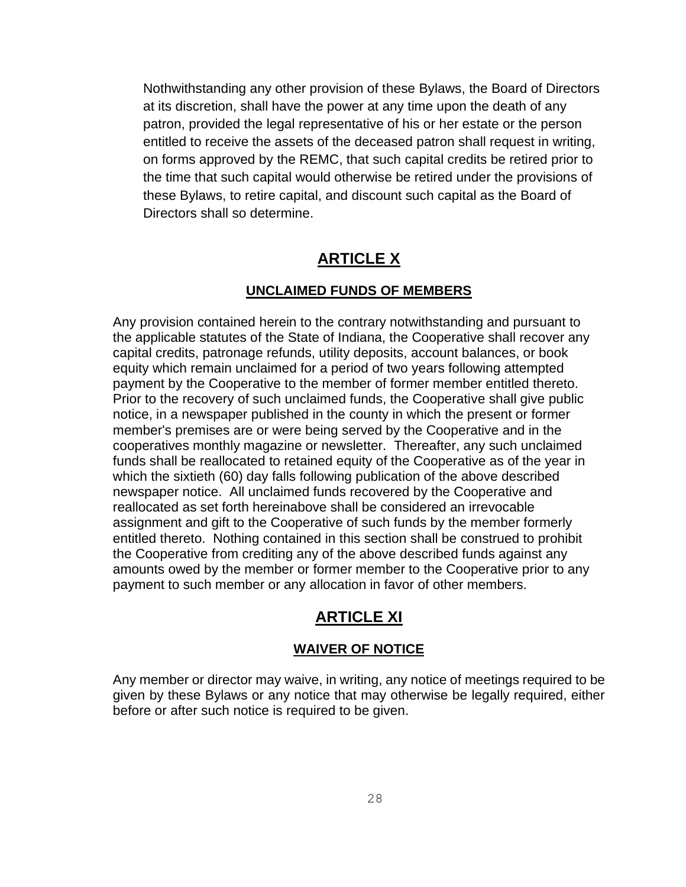Nothwithstanding any other provision of these Bylaws, the Board of Directors at its discretion, shall have the power at any time upon the death of any patron, provided the legal representative of his or her estate or the person entitled to receive the assets of the deceased patron shall request in writing, on forms approved by the REMC, that such capital credits be retired prior to the time that such capital would otherwise be retired under the provisions of these Bylaws, to retire capital, and discount such capital as the Board of Directors shall so determine.

# **ARTICLE X**

### **UNCLAIMED FUNDS OF MEMBERS**

Any provision contained herein to the contrary notwithstanding and pursuant to the applicable statutes of the State of Indiana, the Cooperative shall recover any capital credits, patronage refunds, utility deposits, account balances, or book equity which remain unclaimed for a period of two years following attempted payment by the Cooperative to the member of former member entitled thereto. Prior to the recovery of such unclaimed funds, the Cooperative shall give public notice, in a newspaper published in the county in which the present or former member's premises are or were being served by the Cooperative and in the cooperatives monthly magazine or newsletter. Thereafter, any such unclaimed funds shall be reallocated to retained equity of the Cooperative as of the year in which the sixtieth (60) day falls following publication of the above described newspaper notice. All unclaimed funds recovered by the Cooperative and reallocated as set forth hereinabove shall be considered an irrevocable assignment and gift to the Cooperative of such funds by the member formerly entitled thereto. Nothing contained in this section shall be construed to prohibit the Cooperative from crediting any of the above described funds against any amounts owed by the member or former member to the Cooperative prior to any payment to such member or any allocation in favor of other members.

# **ARTICLE XI**

### **WAIVER OF NOTICE**

Any member or director may waive, in writing, any notice of meetings required to be given by these Bylaws or any notice that may otherwise be legally required, either before or after such notice is required to be given.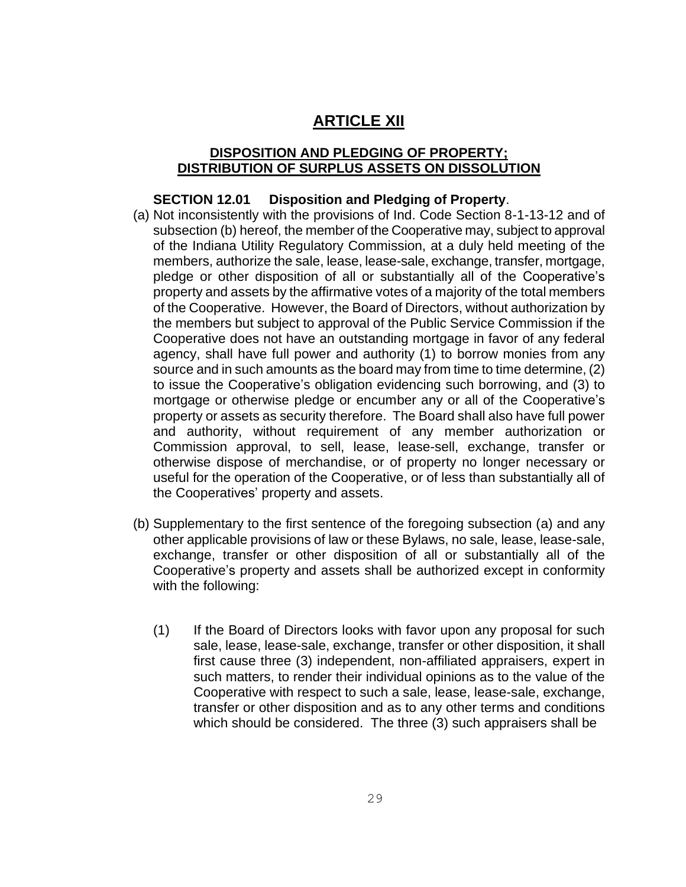# **ARTICLE XII**

### **DISPOSITION AND PLEDGING OF PROPERTY; DISTRIBUTION OF SURPLUS ASSETS ON DISSOLUTION**

### **SECTION 12.01 Disposition and Pledging of Property**.

- (a) Not inconsistently with the provisions of Ind. Code Section 8-1-13-12 and of subsection (b) hereof, the member of the Cooperative may, subject to approval of the Indiana Utility Regulatory Commission, at a duly held meeting of the members, authorize the sale, lease, lease-sale, exchange, transfer, mortgage, pledge or other disposition of all or substantially all of the Cooperative's property and assets by the affirmative votes of a majority of the total members of the Cooperative. However, the Board of Directors, without authorization by the members but subject to approval of the Public Service Commission if the Cooperative does not have an outstanding mortgage in favor of any federal agency, shall have full power and authority (1) to borrow monies from any source and in such amounts as the board may from time to time determine, (2) to issue the Cooperative's obligation evidencing such borrowing, and (3) to mortgage or otherwise pledge or encumber any or all of the Cooperative's property or assets as security therefore. The Board shall also have full power and authority, without requirement of any member authorization or Commission approval, to sell, lease, lease-sell, exchange, transfer or otherwise dispose of merchandise, or of property no longer necessary or useful for the operation of the Cooperative, or of less than substantially all of the Cooperatives' property and assets.
- (b) Supplementary to the first sentence of the foregoing subsection (a) and any other applicable provisions of law or these Bylaws, no sale, lease, lease-sale, exchange, transfer or other disposition of all or substantially all of the Cooperative's property and assets shall be authorized except in conformity with the following:
	- (1) If the Board of Directors looks with favor upon any proposal for such sale, lease, lease-sale, exchange, transfer or other disposition, it shall first cause three (3) independent, non-affiliated appraisers, expert in such matters, to render their individual opinions as to the value of the Cooperative with respect to such a sale, lease, lease-sale, exchange, transfer or other disposition and as to any other terms and conditions which should be considered. The three (3) such appraisers shall be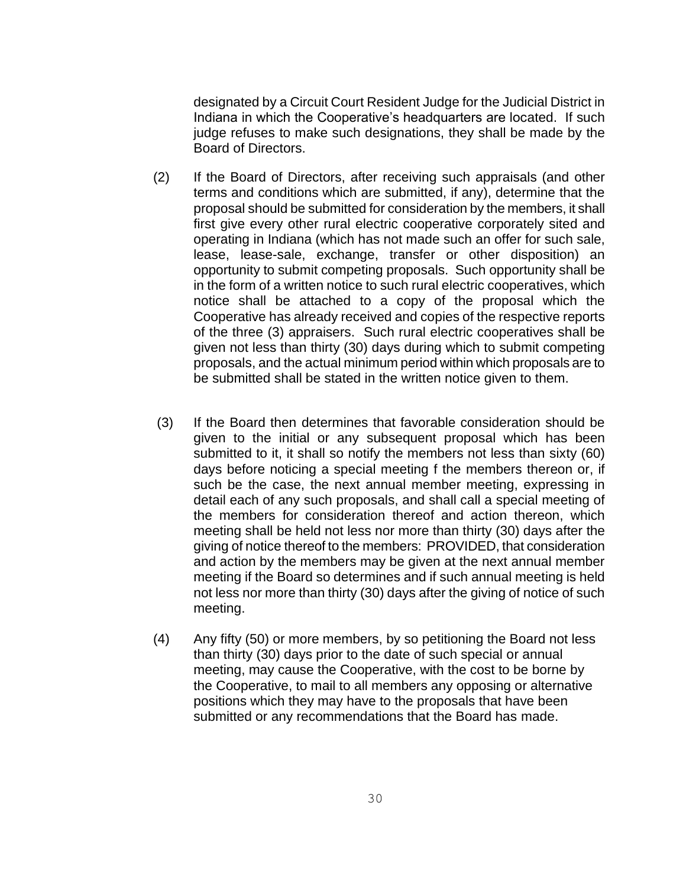designated by a Circuit Court Resident Judge for the Judicial District in Indiana in which the Cooperative's headquarters are located. If such judge refuses to make such designations, they shall be made by the Board of Directors.

- (2) If the Board of Directors, after receiving such appraisals (and other terms and conditions which are submitted, if any), determine that the proposal should be submitted for consideration by the members, it shall first give every other rural electric cooperative corporately sited and operating in Indiana (which has not made such an offer for such sale, lease, lease-sale, exchange, transfer or other disposition) an opportunity to submit competing proposals. Such opportunity shall be in the form of a written notice to such rural electric cooperatives, which notice shall be attached to a copy of the proposal which the Cooperative has already received and copies of the respective reports of the three (3) appraisers. Such rural electric cooperatives shall be given not less than thirty (30) days during which to submit competing proposals, and the actual minimum period within which proposals are to be submitted shall be stated in the written notice given to them.
- (3) If the Board then determines that favorable consideration should be given to the initial or any subsequent proposal which has been submitted to it, it shall so notify the members not less than sixty (60) days before noticing a special meeting f the members thereon or, if such be the case, the next annual member meeting, expressing in detail each of any such proposals, and shall call a special meeting of the members for consideration thereof and action thereon, which meeting shall be held not less nor more than thirty (30) days after the giving of notice thereof to the members: PROVIDED, that consideration and action by the members may be given at the next annual member meeting if the Board so determines and if such annual meeting is held not less nor more than thirty (30) days after the giving of notice of such meeting.
- (4) Any fifty (50) or more members, by so petitioning the Board not less than thirty (30) days prior to the date of such special or annual meeting, may cause the Cooperative, with the cost to be borne by the Cooperative, to mail to all members any opposing or alternative positions which they may have to the proposals that have been submitted or any recommendations that the Board has made.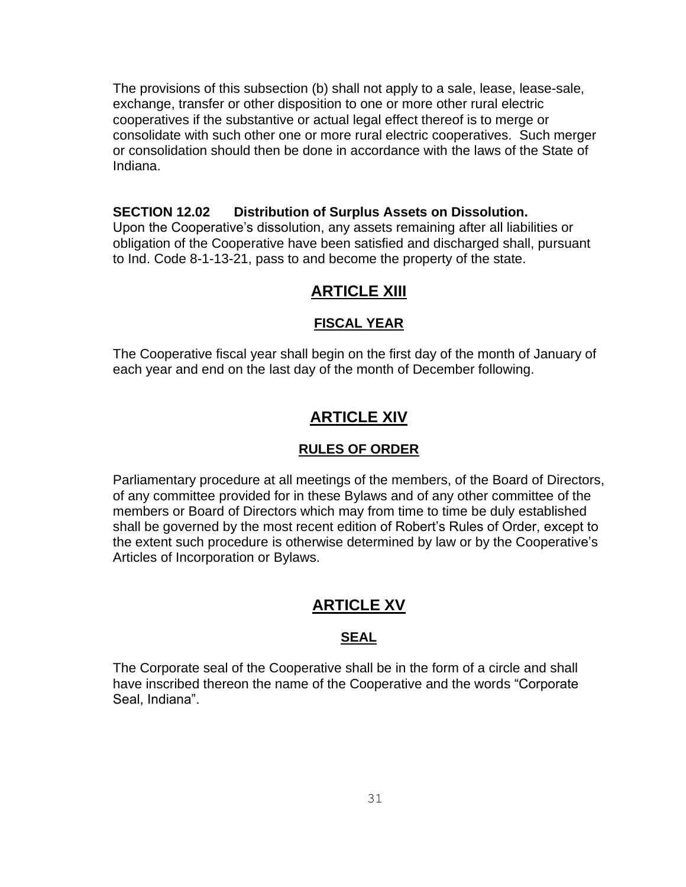The provisions of this subsection (b) shall not apply to a sale, lease, lease-sale, exchange, transfer or other disposition to one or more other rural electric cooperatives if the substantive or actual legal effect thereof is to merge or consolidate with such other one or more rural electric cooperatives. Such merger or consolidation should then be done in accordance with the laws of the State of Indiana.

### **SECTION 12.02 Distribution of Surplus Assets on Dissolution.**

Upon the Cooperative's dissolution, any assets remaining after all liabilities or obligation of the Cooperative have been satisfied and discharged shall, pursuant to Ind. Code 8-1-13-21, pass to and become the property of the state.

### **ARTICLE XIII**

#### **FISCAL YEAR**

The Cooperative fiscal year shall begin on the first day of the month of January of each year and end on the last day of the month of December following.

### **ARTICLE XIV**

#### **RULES OF ORDER**

Parliamentary procedure at all meetings of the members, of the Board of Directors, of any committee provided for in these Bylaws and of any other committee of the members or Board of Directors which may from time to time be duly established shall be governed by the most recent edition of Robert's Rules of Order, except to the extent such procedure is otherwise determined by law or by the Cooperative's Articles of Incorporation or Bylaws.

# **ARTICLE XV**

### **SEAL**

The Corporate seal of the Cooperative shall be in the form of a circle and shall have inscribed thereon the name of the Cooperative and the words "Corporate Seal, Indiana".